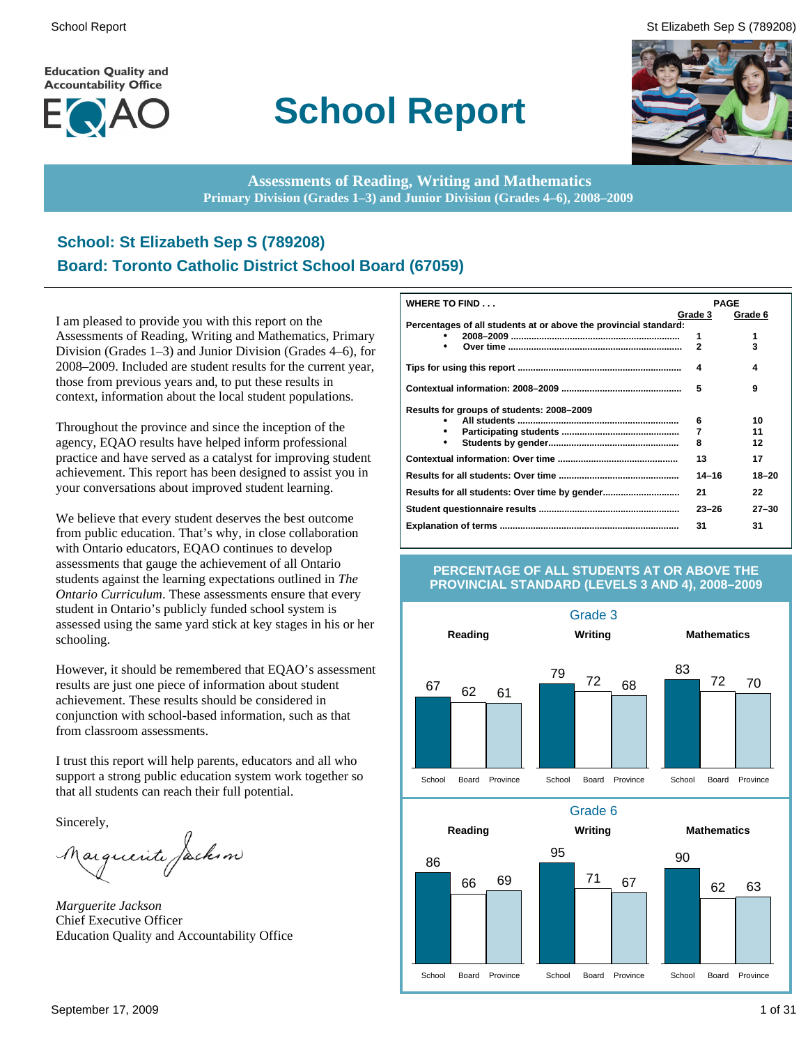**Education Quality and Accountability Office** 



# **School Report**

School Report St Elizabeth Sep S (789208)



**Assessments of Reading, Writing and Mathematics Primary Division (Grades 1–3) and Junior Division (Grades 4–6), 2008–2009**

## **School: St Elizabeth Sep S (789208) Board: Toronto Catholic District School Board (67059)**

I am pleased to provide you with this report on the Assessments of Reading, Writing and Mathematics, Primary Division (Grades 1–3) and Junior Division (Grades 4–6), for 2008–2009. Included are student results for the current year, those from previous years and, to put these results in context, information about the local student populations.

Throughout the province and since the inception of the agency, EQAO results have helped inform professional practice and have served as a catalyst for improving student achievement. This report has been designed to assist you in your conversations about improved student learning.

We believe that every student deserves the best outcome from public education. That's why, in close collaboration with Ontario educators, EQAO continues to develop assessments that gauge the achievement of all Ontario students against the learning expectations outlined in *The Ontario Curriculum*. These assessments ensure that every student in Ontario's publicly funded school system is assessed using the same yard stick at key stages in his or her schooling.

However, it should be remembered that EQAO's assessment results are just one piece of information about student achievement. These results should be considered in conjunction with school-based information, such as that from classroom assessments.

I trust this report will help parents, educators and all who support a strong public education system work together so that all students can reach their full potential.

Sincerely,

Marguerite Jackson

*Marguerite Jackson* Chief Executive Officer Education Quality and Accountability Office

| WHERE TO FIND                                                    | <b>PAGE</b>  |           |
|------------------------------------------------------------------|--------------|-----------|
|                                                                  | Grade 3      | Grade 6   |
| Percentages of all students at or above the provincial standard: |              |           |
|                                                                  | 1            | 1         |
|                                                                  | $\mathbf{2}$ | 3         |
|                                                                  | 4            | 4         |
|                                                                  | 5            | 9         |
| Results for groups of students: 2008-2009                        |              |           |
|                                                                  | 6            | 10        |
|                                                                  | 7            | 11        |
|                                                                  | 8            | 12        |
|                                                                  | 13           | 17        |
|                                                                  | $14 - 16$    | $18 - 20$ |
|                                                                  | 21           | 22        |
|                                                                  | $23 - 26$    | $27 - 30$ |
|                                                                  | 31           | 31        |

### **PERCENTAGE OF ALL STUDENTS AT OR ABOVE THE PROVINCIAL STANDARD (LEVELS 3 AND 4), 2008–2009**

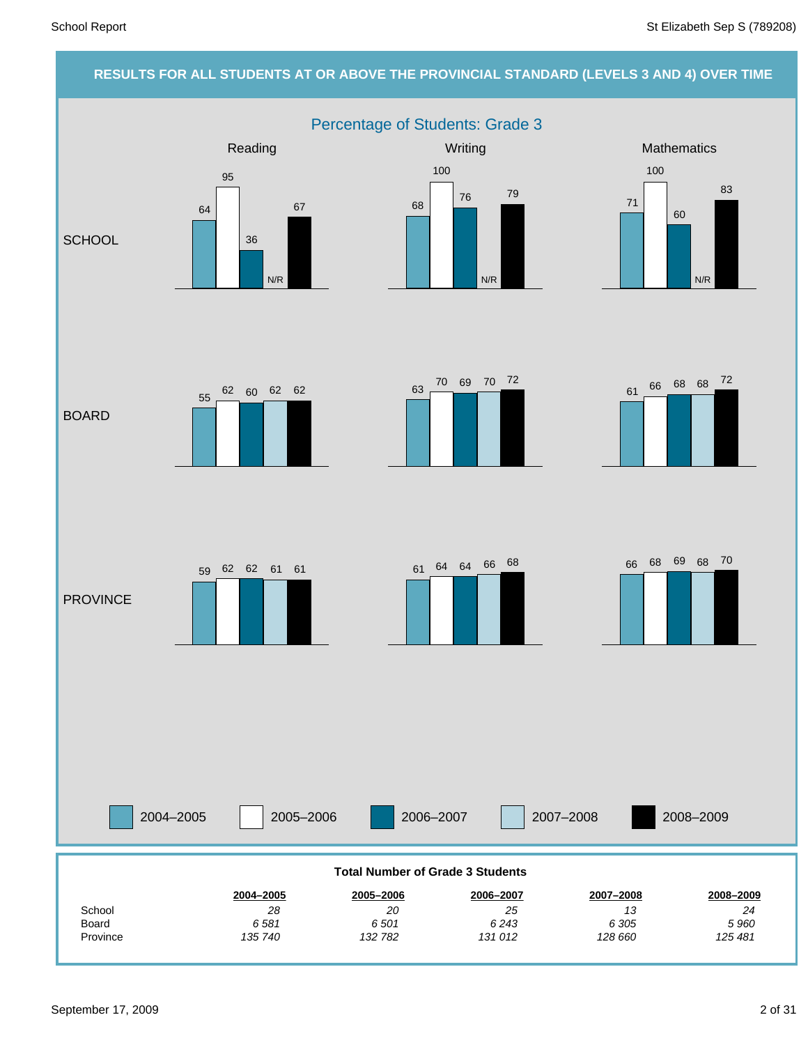### **RESULTS FOR ALL STUDENTS AT OR ABOVE THE PROVINCIAL STANDARD (LEVELS 3 AND 4) OVER TIME** Percentage of Students: Grade 3 2004–2005 2005–2006 2006–2007 2007–2008 Reading Network Control Control Control Control Control Control Control Control Control Control Control Control Control Control Control Control Control Control Control Control Control Control Control Control Control Contro **SCHOOL** BOARD **PROVINCE** 2008–2009 *125 481 5 960 24* **2008–2009** *128 660 6 305 13* **2007–2008** *131 012 6 243 25* **2006–2007** *132 782 6 501 20* **2005–2006** *135 740 6 581 28* **2004–2005** Province Board **School Total Number of Grade 3 Students** 64 95 36 N/R 67 68 100 76 N/R 79 71 100 60 N/R 83 61 66 68 68 72 <sup>63</sup> <sup>70</sup> <sup>69</sup> <sup>70</sup> <sup>72</sup> 55 62 60 62 62 <sup>61</sup> <sup>64</sup> <sup>64</sup> <sup>66</sup> <sup>68</sup> <sup>59</sup> <sup>62</sup> <sup>62</sup> <sup>61</sup> <sup>61</sup> <sup>66</sup> <sup>68</sup> <sup>69</sup> <sup>68</sup> <sup>70</sup>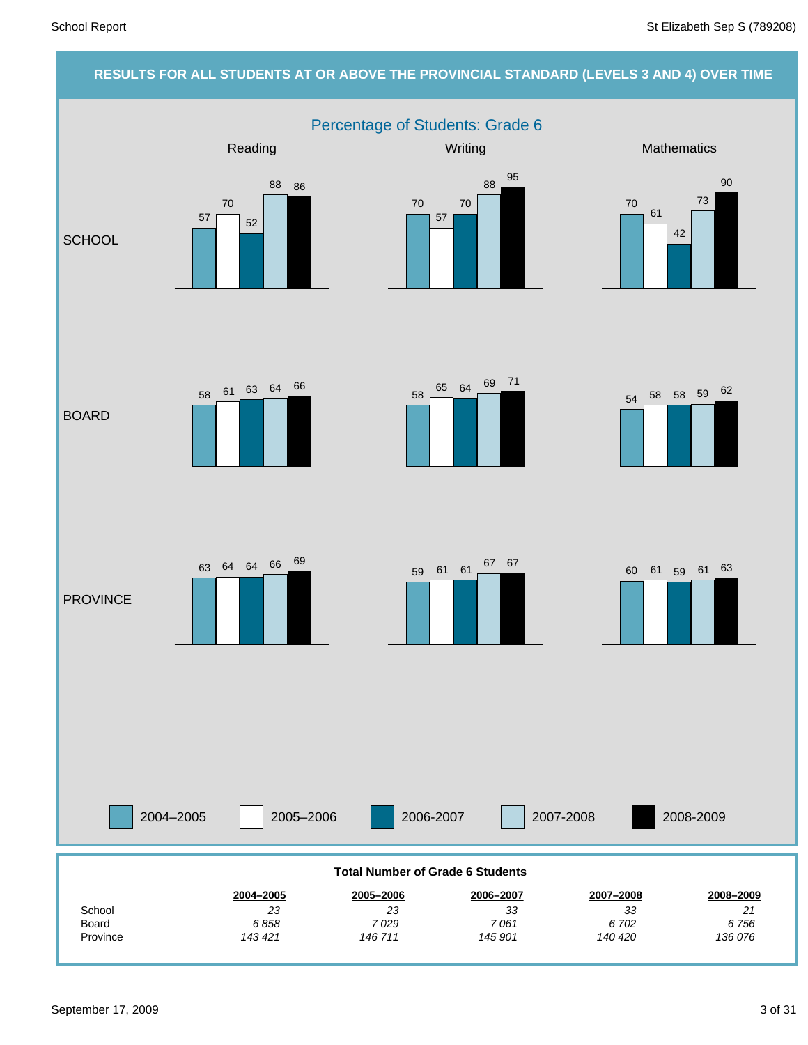### **RESULTS FOR ALL STUDENTS AT OR ABOVE THE PROVINCIAL STANDARD (LEVELS 3 AND 4) OVER TIME** Percentage of Students: Grade 6 2004–2005 2005–2006 2006-2007 2007-2008 Reading Network Control Control Control Control Control Control Control Control Control Control Control Control Control Control Control Control Control Control Control Control Control Control Control Control Control Contro **SCHOOL** BOARD **PROVINCE** 2008-2009 *136 076 6 756 21* **2008–2009** *140 420 6 702 33* **2007–2008** *145 901 7 061 33* **2006–2007** *146 711 7 029 23* **2005–2006** *143 421 6 858 23* **2004–2005** Province Board School **Total Number of Grade 6 Students** 57 70 52 88 86 70 57 70 <sup>88</sup> <sup>95</sup> 70 61 42 73 90  $58 \begin{array}{|l|} \hline \phantom{1}65 \end{array} \begin{array}{|l|} 64 \end{array} \begin{array}{|l|} \hline \phantom{1}69 \end{array} \begin{array}{|l|} \hline \phantom{1}71 \end{array}$ <sup>58</sup> <sup>61</sup> <sup>63</sup> <sup>64</sup> <sup>66</sup> 63 64 64 66 <sup>69</sup> 59 61 61 <sup>67</sup> 67 60 61 59 61 63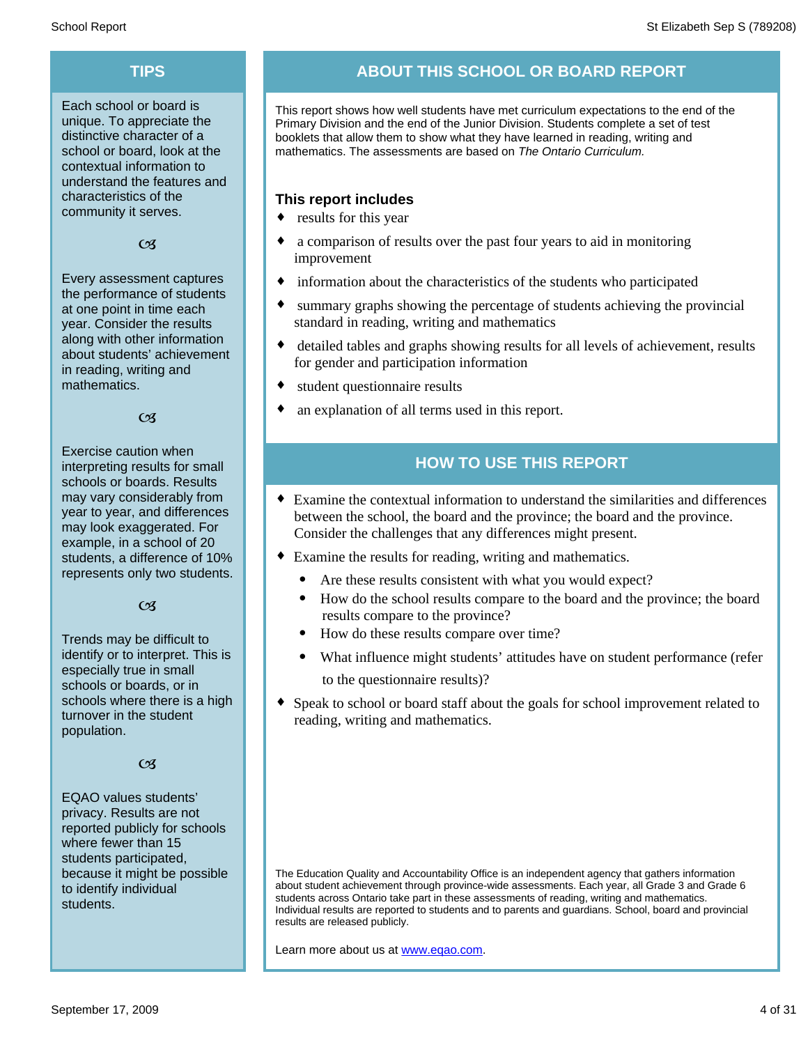Each school or board is unique. To appreciate the distinctive character of a school or board, look at the contextual information to understand the features and characteristics of the community it serves.

### $C<sub>3</sub>$

Every assessment captures the performance of students at one point in time each year. Consider the results along with other information about students' achievement in reading, writing and mathematics.

### $\alpha$

Exercise caution when interpreting results for small schools or boards. Results may vary considerably from year to year, and differences may look exaggerated. For example, in a school of 20 students, a difference of 10% represents only two students.

### $C<sub>3</sub>$

Trends may be difficult to identify or to interpret. This is especially true in small schools or boards, or in schools where there is a high turnover in the student population.

### $C<sub>3</sub>$

EQAO values students' privacy. Results are not reported publicly for schools where fewer than 15 students participated, because it might be possible to identify individual students.

## **TIPS ABOUT THIS SCHOOL OR BOARD REPORT**

This report shows how well students have met curriculum expectations to the end of the Primary Division and the end of the Junior Division. Students complete a set of test booklets that allow them to show what they have learned in reading, writing and mathematics. The assessments are based on *The Ontario Curriculum.*

### **This report includes**

- $\bullet$  results for this year
- a comparison of results over the past four years to aid in monitoring improvement
- $\bullet$  information about the characteristics of the students who participated
- summary graphs showing the percentage of students achieving the provincial standard in reading, writing and mathematics
- detailed tables and graphs showing results for all levels of achievement, results for gender and participation information
- $\bullet$  student questionnaire results
- an explanation of all terms used in this report.

## **HOW TO USE THIS REPORT**

- ¨ Examine the contextual information to understand the similarities and differences between the school, the board and the province; the board and the province. Consider the challenges that any differences might present.
- Examine the results for reading, writing and mathematics.
	- Are these results consistent with what you would expect?
	- · How do the school results compare to the board and the province; the board results compare to the province?
	- · How do these results compare over time?
	- · What influence might students' attitudes have on student performance (refer to the questionnaire results)?
- Speak to school or board staff about the goals for school improvement related to reading, writing and mathematics.

The Education Quality and Accountability Office is an independent agency that gathers information about student achievement through province-wide assessments. Each year, all Grade 3 and Grade 6 students across Ontario take part in these assessments of reading, writing and mathematics. Individual results are reported to students and to parents and guardians. School, board and provincial results are released publicly.

Learn more about us at www.eqao.com.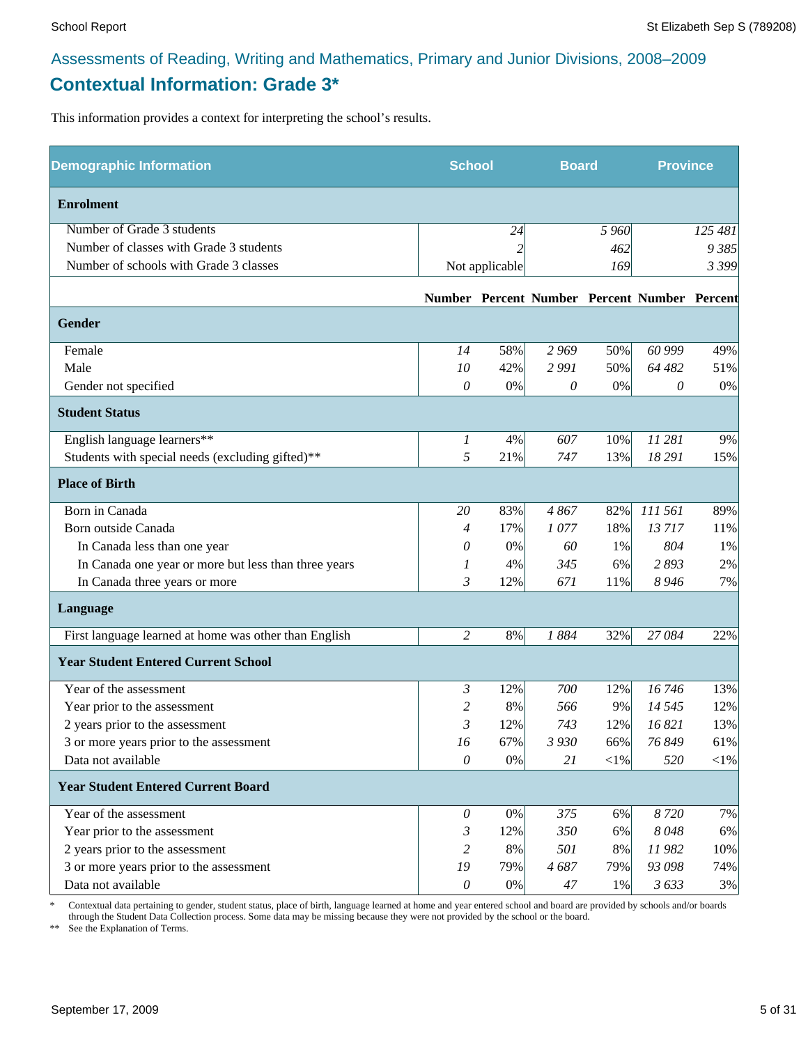## **Contextual Information: Grade 3\***

This information provides a context for interpreting the school's results.

| <b>Demographic Information</b>                        | <b>School</b> |                | <b>Board</b> |         | <b>Province</b>                              |            |
|-------------------------------------------------------|---------------|----------------|--------------|---------|----------------------------------------------|------------|
| <b>Enrolment</b>                                      |               |                |              |         |                                              |            |
| Number of Grade 3 students                            |               | 24             |              | 5 9 6 0 |                                              | 125 481    |
| Number of classes with Grade 3 students               |               |                |              | 462     |                                              | 9 385      |
| Number of schools with Grade 3 classes                |               | Not applicable |              | 169     |                                              | 3 3 9 9    |
|                                                       |               |                |              |         | Number Percent Number Percent Number Percent |            |
| Gender                                                |               |                |              |         |                                              |            |
| Female                                                | 14            | 58%            | 2 9 6 9      | 50%     | 60 999                                       | 49%        |
| Male                                                  | 10            | 42%            | 2991         | 50%     | 64 482                                       | 51%        |
| Gender not specified                                  | 0             | $0\%$          | 0            | 0%      | 0                                            | 0%         |
| <b>Student Status</b>                                 |               |                |              |         |                                              |            |
| English language learners**                           | 1             | 4%             | 607          | 10%     | 11 281                                       | 9%         |
| Students with special needs (excluding gifted)**      | 5             | 21%            | 747          | 13%     | 18 29 1                                      | 15%        |
| <b>Place of Birth</b>                                 |               |                |              |         |                                              |            |
| Born in Canada                                        | 20            | 83%            | 4867         | 82%     | 111 561                                      | 89%        |
| Born outside Canada                                   | 4             | 17%            | 1077         | 18%     | 13717                                        | 11%        |
| In Canada less than one year                          | 0             | 0%             | 60           | 1%      | 804                                          | 1%         |
| In Canada one year or more but less than three years  | 1             | 4%             | 345          | 6%      | 2893                                         | 2%         |
| In Canada three years or more                         | 3             | 12%            | 671          | 11%     | 8 9 4 6                                      | 7%         |
| Language                                              |               |                |              |         |                                              |            |
| First language learned at home was other than English | 2             | 8%             | 1884         | 32%     | 27084                                        | 22%        |
| <b>Year Student Entered Current School</b>            |               |                |              |         |                                              |            |
| Year of the assessment                                | 3             | 12%            | 700          | 12%     | 16746                                        | 13%        |
| Year prior to the assessment                          | 2             | 8%             | 566          | 9%      | 14 5 45                                      | 12%        |
| 2 years prior to the assessment                       | 3             | 12%            | 743          | 12%     | 16 821                                       | 13%        |
| 3 or more years prior to the assessment               | 16            | 67%            | 3 9 3 0      | 66%     | 76 849                                       | 61%        |
| Data not available                                    | $\mathcal O$  | $0\%$          | 21           | $<$ 1%  | 520                                          | $<\!\!1\%$ |
| <b>Year Student Entered Current Board</b>             |               |                |              |         |                                              |            |
| Year of the assessment                                | $\theta$      | 0%             | 375          | 6%      | 8720                                         | 7%         |
| Year prior to the assessment                          | 3             | 12%            | 350          | 6%      | 8048                                         | 6%         |
| 2 years prior to the assessment                       | 2             | 8%             | 501          | $8\%$   | 11982                                        | 10%        |
| 3 or more years prior to the assessment               | 19            | 79%            | 4687         | 79%     | 93 098                                       | 74%        |
| Data not available                                    | $\mathcal O$  | $0\%$          | 47           | 1%      | 3633                                         | 3%         |

\* Contextual data pertaining to gender, student status, place of birth, language learned at home and year entered school and board are provided by schools and/or boards through the Student Data Collection process. Some data may be missing because they were not provided by the school or the board.

\*\* See the Explanation of Terms.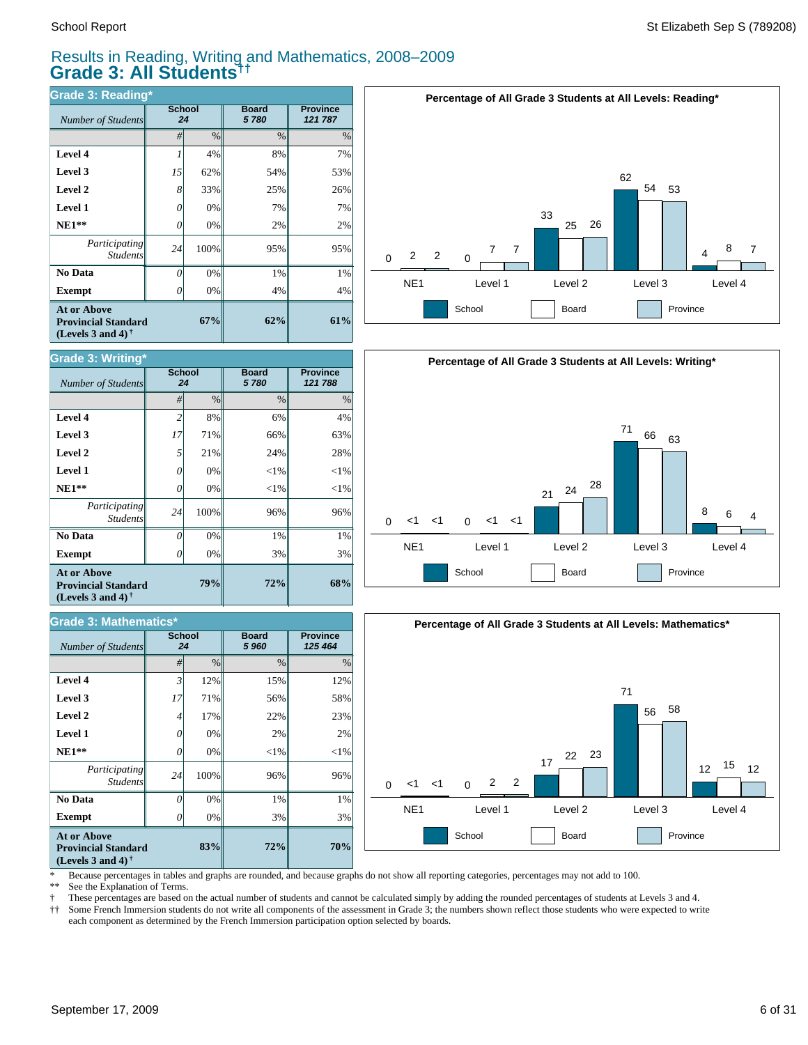$Number of Students$ 

**Grade 3: Writing\***

**Exempt**  $\qquad$  0

*Number of Students 24*

**Grade 3: Mathematics\***

*Participating* Student.

 **No Data**

**At or Above Provincial Standard (Levels 3 and 4) †**

 **NE1\*\* Level 1 Level 2 Level 3 Level 4**

## Results in Reading, Writing and Mathematics, 2008–2009 **Grade 3: All Students††**

*#* % % %

**72%**

**72%**

3% 1% 96%  $<$ 1% 2% 22% 56% 15%

**Board** *5 960*

**79%**

**83%**

0% 0% 100% 0% 0% 17% 71% 12%

0% 0% 100% 0% 0% 21% 71% 8%

3% 1% 96%  $<$ 1%  $<$ 1% 24% 66% 6%

**Board** *5 780*

**Province** *121 788*

**68%**

**Province** *125 464*

3% 1% 96%  $<$ 1%  $<$ 1% 28% 63% 4%

| Grade 3: Reading*                                                                                    |                     |               |                      |                            |  |  |  |
|------------------------------------------------------------------------------------------------------|---------------------|---------------|----------------------|----------------------------|--|--|--|
| Number of Students                                                                                   | <b>School</b><br>24 |               | <b>Board</b><br>5780 | <b>Province</b><br>121 787 |  |  |  |
|                                                                                                      | #                   | $\frac{0}{0}$ | $\frac{0}{0}$        | $\%$                       |  |  |  |
| Level 4                                                                                              | 1                   | 4%            | 8%                   | 7%                         |  |  |  |
| Level 3                                                                                              | 15                  | 62%           | 54%                  | 53%                        |  |  |  |
| Level 2                                                                                              | 8                   | 33%           | 25%                  | 26%                        |  |  |  |
| Level 1                                                                                              | 0                   | 0%            | 7%                   | 7%                         |  |  |  |
| $NE1**$                                                                                              | 0                   | 0%            | 2%                   | 2%                         |  |  |  |
| <i>Participating</i><br><b>Students</b>                                                              | 24                  | 100%          | 95%                  | 95%                        |  |  |  |
| No Data                                                                                              | 0                   | 0%            | 1%                   | 1%                         |  |  |  |
| <b>Exempt</b>                                                                                        | 0                   | 0%            | 4%                   | 4%                         |  |  |  |
| <b>At or Above</b><br><b>Provincial Standard</b><br>(Levels 3 and 4) <sup><math>\dagger</math></sup> |                     | 67%           | 62%                  | 61%                        |  |  |  |

**School**

**School**







\* Because percentages in tables and graphs are rounded, and because graphs do not show all reporting categories, percentages may not add to 100.

**70%**

3% 1% 96%  $<$ 1% 2%  $23%$ 58% 12%

See the Explanation of Terms.

**Exempt** *0* 

*Participating Students*

 **No Data**

**At or Above Provincial Standard (Levels 3 and 4) †**

 **NE1\*\* Level 1 Level 2 Level 3 Level 4**

† These percentages are based on the actual number of students and cannot be calculated simply by adding the rounded percentages of students at Levels 3 and 4.

Some French Immersion students do not write all components of the assessment in Grade 3; the numbers shown reflect those students who were expected to write each component as determined by the French Immersion participation option selected by boards.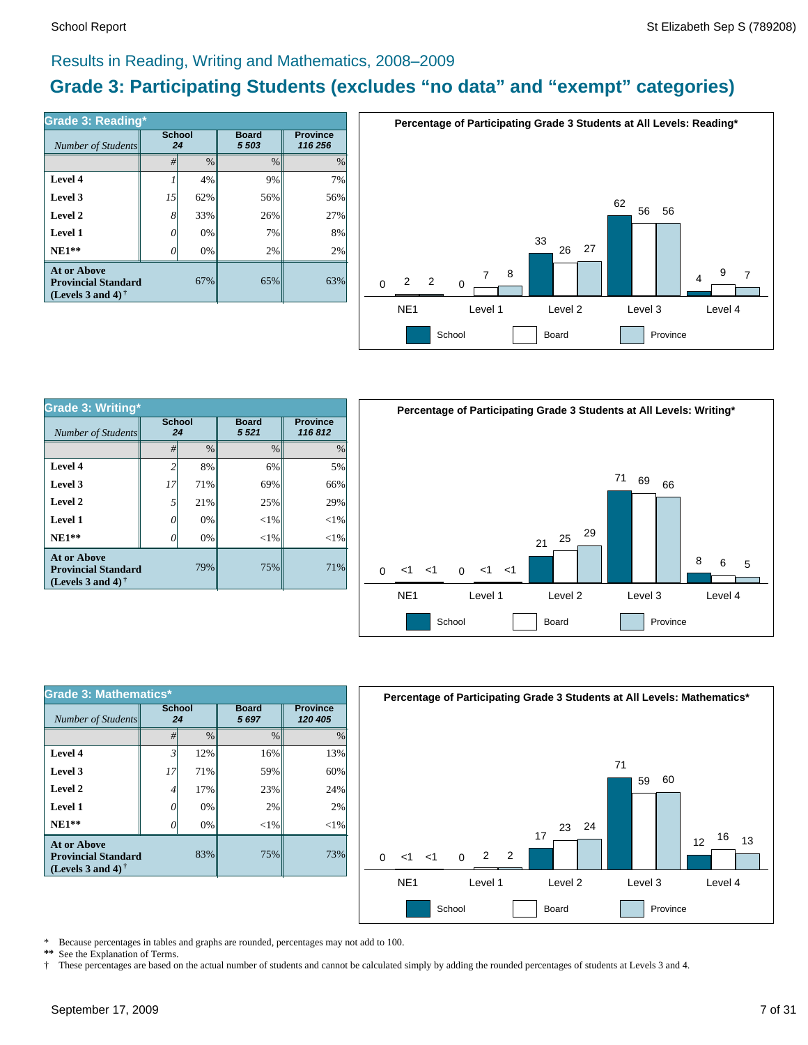### Results in Reading, Writing and Mathematics, 2008–2009

## **Grade 3: Participating Students (excludes "no data" and "exempt" categories)**

| Number of Students                                                             | <b>School</b><br>24 |      | <b>Board</b><br>5 5 0 3 | <b>Province</b><br>116 256 |  |
|--------------------------------------------------------------------------------|---------------------|------|-------------------------|----------------------------|--|
|                                                                                | #                   | $\%$ | $\frac{0}{0}$           | $\%$                       |  |
| Level 4                                                                        |                     | 4%   | 9%                      | 7%                         |  |
| Level 3                                                                        | 15                  | 62%  | 56%                     | 56%                        |  |
| Level 2                                                                        | 8                   | 33%  | 26%                     | 27%                        |  |
| Level 1                                                                        | 0                   | 0%   | 7%                      | 8%                         |  |
| $NE1**$                                                                        | O                   | 0%   | 2%                      | 2%                         |  |
| <b>At or Above</b><br><b>Provincial Standard</b><br>(Levels 3 and 4) $\dagger$ |                     | 67%  | 65%                     | 63%                        |  |



| <b>Grade 3: Writing*</b>                                                       |                     |               |                        |                           |  |  |  |
|--------------------------------------------------------------------------------|---------------------|---------------|------------------------|---------------------------|--|--|--|
| Number of Students                                                             | <b>School</b><br>24 |               | <b>Board</b><br>5 5 21 | <b>Province</b><br>116812 |  |  |  |
|                                                                                | #                   | $\frac{0}{0}$ | $\frac{0}{0}$          | $\frac{0}{0}$             |  |  |  |
| Level 4                                                                        | 2                   | 8%            | 6%                     | 5%                        |  |  |  |
| Level 3                                                                        | 17                  | 71%           | 69%                    | 66%                       |  |  |  |
| Level 2                                                                        | 5                   | 21%           | 25%                    | 29%                       |  |  |  |
| Level 1                                                                        | 0                   | 0%            | $<$ 1%                 | $<$ 1%                    |  |  |  |
| $NE1**$                                                                        | 0                   | 0%            | $<$ 1%                 | $<$ 1%                    |  |  |  |
| <b>At or Above</b><br><b>Provincial Standard</b><br>(Levels 3 and 4) $\dagger$ |                     | 79%           | 75%                    | 71%                       |  |  |  |



| <b>Grade 3: Mathematics*</b>                                                   |                     |               |                      |                            |  |  |  |
|--------------------------------------------------------------------------------|---------------------|---------------|----------------------|----------------------------|--|--|--|
| Number of Students                                                             | <b>School</b><br>24 |               | <b>Board</b><br>5697 | <b>Province</b><br>120 405 |  |  |  |
|                                                                                | #                   | $\frac{0}{0}$ | $\frac{0}{0}$        | $\frac{0}{0}$              |  |  |  |
| Level 4                                                                        | 3'                  | 12%           | 16%                  | 13%                        |  |  |  |
| Level 3                                                                        | 17                  | 71%           | 59%                  | 60%                        |  |  |  |
| Level 2                                                                        | 4                   | 17%           | 23%                  | 24%                        |  |  |  |
| Level 1                                                                        | 0                   | 0%            | 2%                   | 2%                         |  |  |  |
| $NE1**$                                                                        | O                   | 0%            | ${<}1\%$             | $<$ 1%                     |  |  |  |
| <b>At or Above</b><br><b>Provincial Standard</b><br>(Levels 3 and 4) $\dagger$ |                     | 83%           | 75%                  | 73%                        |  |  |  |



\* Because percentages in tables and graphs are rounded, percentages may not add to 100.<br>\*\* See the Explanation of Terms See the Explanation of Terms.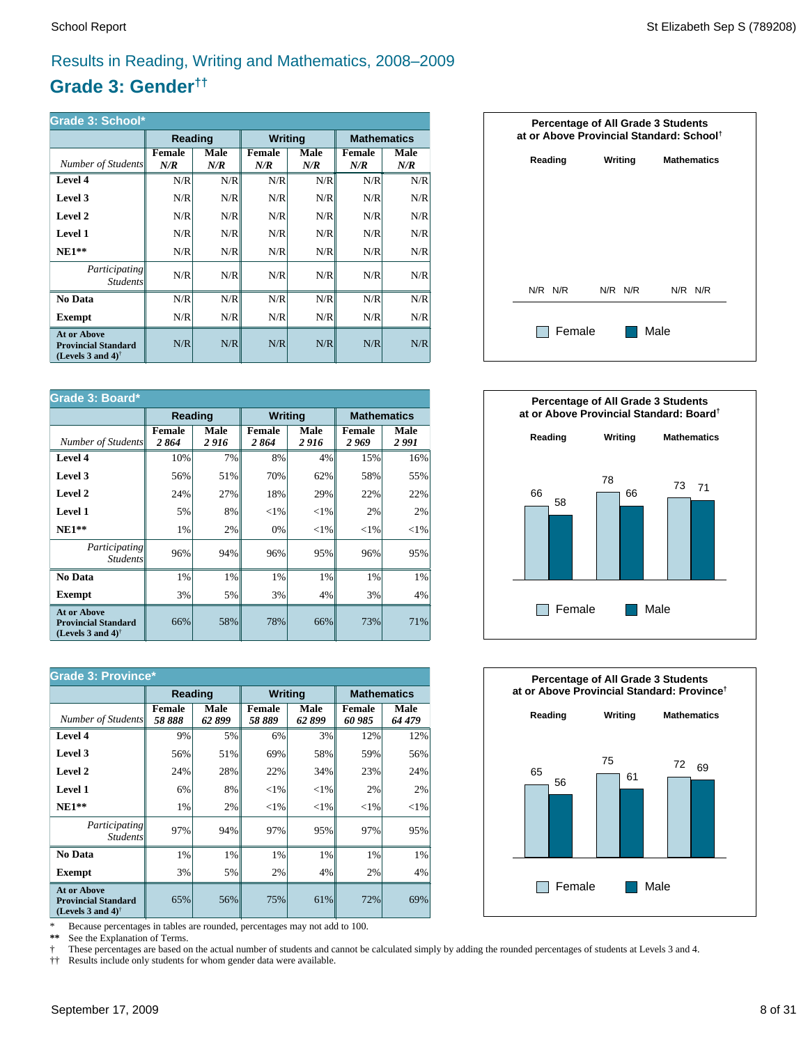## Results in Reading, Writing and Mathematics, 2008–2009

## **Grade 3: Gender††**

| Grade 3: School*                                                                                     |               |             |                |             |                      |             |  |  |
|------------------------------------------------------------------------------------------------------|---------------|-------------|----------------|-------------|----------------------|-------------|--|--|
|                                                                                                      | Reading       |             | <b>Writing</b> |             | <b>Mathematics</b>   |             |  |  |
| Number of Students                                                                                   | Female<br>N/R | Male<br>N/R | Female<br>N/R  | Male<br>N/R | <b>Female</b><br>N/R | Male<br>N/R |  |  |
| Level 4                                                                                              | N/R           | N/R         | N/R            | N/R         | N/R                  | N/R         |  |  |
| Level 3                                                                                              | N/R           | N/R         | N/R            | N/R         | N/R                  | N/R         |  |  |
| Level 2                                                                                              | N/R           | N/R         | N/R            | N/R         | N/R                  | N/R         |  |  |
| Level 1                                                                                              | N/R           | N/R         | N/R            | N/R         | N/R                  | N/R         |  |  |
| $NE1**$                                                                                              | N/R           | N/R         | N/R            | N/R         | N/R                  | N/R         |  |  |
| <i>Participating</i><br><i>Students</i>                                                              | N/R           | N/R         | N/R            | N/R         | N/R                  | N/R         |  |  |
| No Data                                                                                              | N/R           | N/R         | N/R            | N/R         | N/R                  | N/R         |  |  |
| Exempt                                                                                               | N/R           | N/R         | N/R            | N/R         | N/R                  | N/R         |  |  |
| <b>At or Above</b><br><b>Provincial Standard</b><br>(Levels 3 and 4) <sup><math>\dagger</math></sup> | N/R           | N/R         | N/R            | N/R         | N/R                  | N/R         |  |  |

| Grade 3: Board*                                                                |                       |                |                       |              |                    |               |  |
|--------------------------------------------------------------------------------|-----------------------|----------------|-----------------------|--------------|--------------------|---------------|--|
|                                                                                | Reading               |                | <b>Writing</b>        |              | <b>Mathematics</b> |               |  |
| Number of Students                                                             | <b>Female</b><br>2864 | Male<br>2 9 16 | <b>Female</b><br>2864 | Male<br>2916 | Female<br>2 969    | Male<br>2 991 |  |
| Level 4                                                                        | 10%                   | 7%             | 8%                    | 4%           | 15%                | 16%           |  |
| Level 3                                                                        | 56%                   | 51%            | 70%                   | 62%          | 58%                | 55%           |  |
| Level 2                                                                        | 24%                   | 27%            | 18%                   | 29%          | 22%                | 22%           |  |
| <b>Level 1</b>                                                                 | 5%                    | 8%             | ${<}1\%$              | ${<}1\%$     | 2%                 | 2%            |  |
| $NE1**$                                                                        | 1%                    | 2%             | 0%                    | ${<}1\%$     | ${<}1\%$           | ${<}1\%$      |  |
| Participating<br><i>Students</i>                                               | 96%                   | 94%            | 96%                   | 95%          | 96%                | 95%           |  |
| No Data                                                                        | 1%                    | 1%             | 1%                    | 1%           | 1%                 | 1%            |  |
| <b>Exempt</b>                                                                  | 3%                    | 5%             | 3%                    | 4%           | 3%                 | 4%            |  |
| <b>At or Above</b><br><b>Provincial Standard</b><br>(Levels 3 and 4) $\dagger$ | 66%                   | 58%            | 78%                   | 66%          | 73%                | 71%           |  |

| <b>Grade 3: Province*</b>                                                                            |                        |                           |                         |               |                  |                |  |                    |  |
|------------------------------------------------------------------------------------------------------|------------------------|---------------------------|-------------------------|---------------|------------------|----------------|--|--------------------|--|
|                                                                                                      |                        | <b>Writing</b><br>Reading |                         |               |                  |                |  | <b>Mathematics</b> |  |
| Number of Students                                                                                   | <b>Female</b><br>58888 | Male<br>62899             | <b>Female</b><br>58 889 | Male<br>62899 | Female<br>60 985 | Male<br>64 479 |  |                    |  |
| Level 4                                                                                              | 9%                     | 5%                        | 6%                      | 3%            | 12%              | 12%            |  |                    |  |
| Level 3                                                                                              | 56%                    | 51%                       | 69%                     | 58%           | 59%              | 56%            |  |                    |  |
| Level 2                                                                                              | 24%                    | 28%                       | 22%                     | 34%           | 23%              | 24%            |  |                    |  |
| Level 1                                                                                              | 6%                     | 8%                        | ${<}1\%$                | ${<}1\%$      | 2%               | 2%             |  |                    |  |
| $NE1**$                                                                                              | 1%                     | 2%                        | ${<}1\%$                | ${<}1\%$      | ${<}1\%$         | ${<}1\%$       |  |                    |  |
| <i>Participating</i><br><i>Students</i>                                                              | 97%                    | 94%                       | 97%                     | 95%           | 97%              | 95%            |  |                    |  |
| No Data                                                                                              | 1%                     | 1%                        | 1%                      | 1%            | 1%               | $1\%$          |  |                    |  |
| <b>Exempt</b>                                                                                        | 3%                     | 5%                        | 2%                      | 4%            | 2%               | $4\%$          |  |                    |  |
| <b>At or Above</b><br><b>Provincial Standard</b><br>(Levels 3 and 4) <sup><math>\dagger</math></sup> | 65%                    | 56%                       | 75%                     | 61%           | 72%              | 69%            |  |                    |  |

\* Because percentages in tables are rounded, percentages may not add to 100.<br>\*\* See the Explanation of Terms.

See the Explanation of Terms.

† These percentages are based on the actual number of students and cannot be calculated simply by adding the rounded percentages of students at Levels 3 and 4.<br>†† Results include only students for whom gender data were ava

†† Results include only students for whom gender data were available.





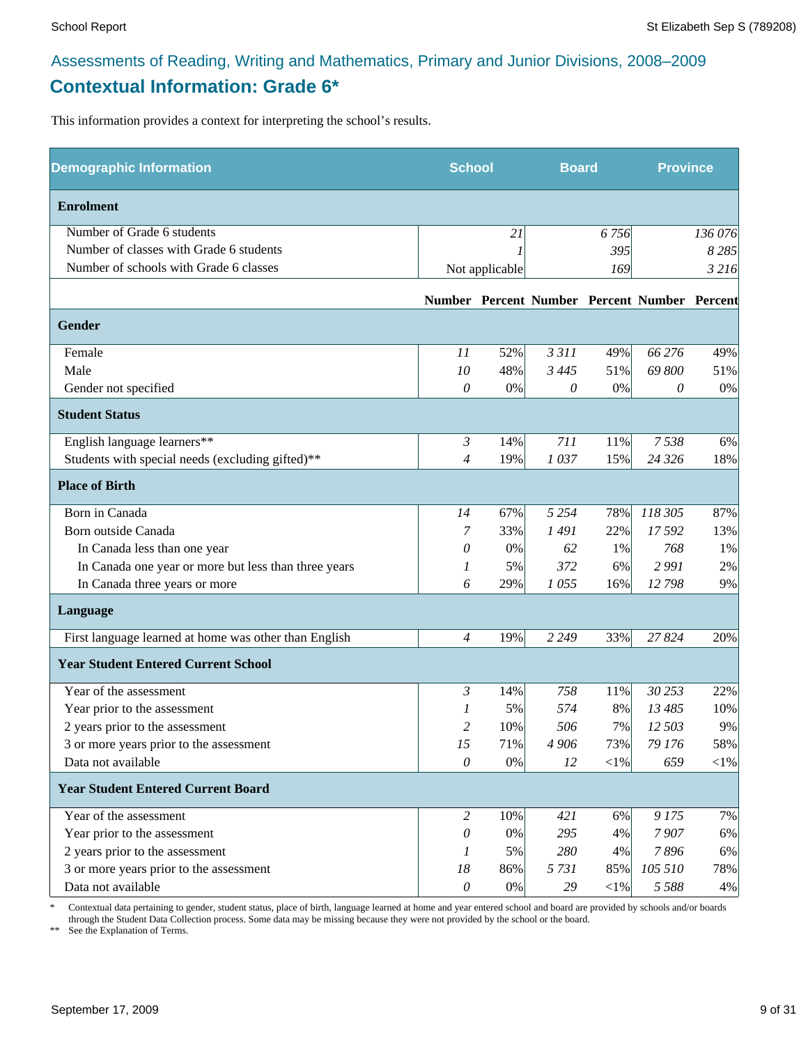## Assessments of Reading, Writing and Mathematics, Primary and Junior Divisions, 2008–2009 **Contextual Information: Grade 6\***

This information provides a context for interpreting the school's results.

| <b>Demographic Information</b>                        | <b>School</b>  |                | <b>Board</b> |            | <b>Province</b>                              |         |
|-------------------------------------------------------|----------------|----------------|--------------|------------|----------------------------------------------|---------|
| <b>Enrolment</b>                                      |                |                |              |            |                                              |         |
| Number of Grade 6 students                            |                | 21             |              | 6756       |                                              | 136 076 |
| Number of classes with Grade 6 students               |                |                |              | 395        |                                              | 8 2 8 5 |
| Number of schools with Grade 6 classes                |                | Not applicable |              | 169        |                                              | 3 2 16  |
|                                                       |                |                |              |            | Number Percent Number Percent Number Percent |         |
| <b>Gender</b>                                         |                |                |              |            |                                              |         |
| Female                                                | 11             | 52%            | 3 3 1 1      | 49%        | 66 276                                       | 49%     |
| Male                                                  | 10             | 48%            | 3 4 4 5      | 51%        | 69 800                                       | 51%     |
| Gender not specified                                  | $\theta$       | 0%             | 0            | 0%         | 0                                            | 0%      |
| <b>Student Status</b>                                 |                |                |              |            |                                              |         |
| English language learners**                           | $\mathfrak{Z}$ | 14%            | 711          | 11%        | 7538                                         | 6%      |
| Students with special needs (excluding gifted)**      | $\overline{4}$ | 19%            | 1037         | 15%        | 24 3 26                                      | 18%     |
| <b>Place of Birth</b>                                 |                |                |              |            |                                              |         |
| Born in Canada                                        | 14             | 67%            | 5 2 5 4      | 78%        | 118 305                                      | 87%     |
| Born outside Canada                                   | 7              | 33%            | 1491         | 22%        | 17592                                        | 13%     |
| In Canada less than one year                          | 0              | 0%             | 62           | 1%         | 768                                          | 1%      |
| In Canada one year or more but less than three years  | 1              | 5%             | 372          | 6%         | 2991                                         | 2%      |
| In Canada three years or more                         | 6              | 29%            | 1055         | 16%        | 12798                                        | 9%      |
| Language                                              |                |                |              |            |                                              |         |
| First language learned at home was other than English | $\overline{4}$ | 19%            | 2 2 4 9      | 33%        | 27824                                        | 20%     |
| <b>Year Student Entered Current School</b>            |                |                |              |            |                                              |         |
| Year of the assessment                                | 3              | 14%            | 758          | 11%        | 30 253                                       | 22%     |
| Year prior to the assessment                          | 1              | 5%             | 574          | 8%         | 13 485                                       | 10%     |
| 2 years prior to the assessment                       | 2              | 10%            | 506          | 7%         | 12 503                                       | 9%      |
| 3 or more years prior to the assessment               | 15             | 71%            | 4 906        | 73%        | 79 176                                       | 58%     |
| Data not available                                    | $\theta$       | $0\%$          | 12           | $<\!\!1\%$ | 659                                          | $<$ 1%  |
| <b>Year Student Entered Current Board</b>             |                |                |              |            |                                              |         |
| Year of the assessment                                | 2              | 10%            | 421          | 6%         | 9175                                         | 7%      |
| Year prior to the assessment                          | $\theta$       | 0%             | 295          | 4%         | 7907                                         | 6%      |
| 2 years prior to the assessment                       | 1              | 5%             | 280          | 4%         | 7896                                         | 6%      |
| 3 or more years prior to the assessment               | $18\,$         | 86%            | 5 7 3 1      | 85%        | 105 510                                      | 78%     |
| Data not available                                    | $\theta$       | $0\%$          | 29           | $<\!\!1\%$ | 5 5 8 8                                      | 4%      |

\* Contextual data pertaining to gender, student status, place of birth, language learned at home and year entered school and board are provided by schools and/or boards through the Student Data Collection process. Some data may be missing because they were not provided by the school or the board.

\*\* See the Explanation of Terms.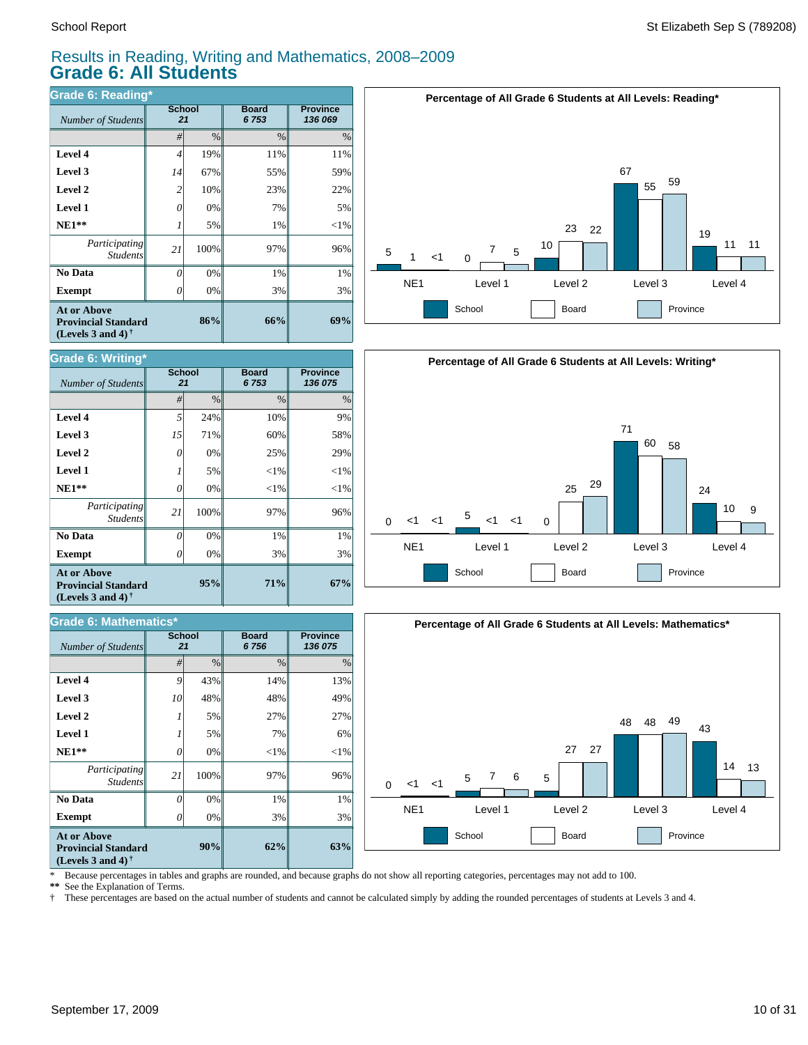*Number of Students* 

**Grade 6: Writing\***

**Exempt**  $\qquad$  0

*Number of Students 21*

**Grade 6: Mathematics\***

*Participating Students*

 **No Data**

**At or Above Provincial Standard (Levels 3 and 4) †**

 **NE1\*\* Level 1 Level 2 Level 3 Level 4**

### Results in Reading, Writing and Mathematics, 2008–2009 **Grade 6: All Students**

*#* % % %

**71%**

**Board** *6 756*

**95%**

**90%**

0% 0% 100% 0% 5% 5% 48% 43%

0% 0% 100% 0% 5% 0% 71% 24%

3% 1% 97%  $<$ 1%  $< 1\%$ 25% 60% 10%

**Board** *6 753*

**Province** *136 075*

**67%**

**Province** *136 075*

3% 1% 96%  $<$ 1%  $< 1%$ 29% 58% 9%

| <b>Grade 6: Reading*</b>                                                                                    |                     |               |                      |                            |  |  |  |
|-------------------------------------------------------------------------------------------------------------|---------------------|---------------|----------------------|----------------------------|--|--|--|
| Number of Students                                                                                          | <b>School</b><br>21 |               | <b>Board</b><br>6753 | <b>Province</b><br>136 069 |  |  |  |
|                                                                                                             | #                   | $\frac{0}{0}$ | $\frac{0}{0}$        | $\%$                       |  |  |  |
| Level 4                                                                                                     | 4                   | 19%           | 11%                  | 11%                        |  |  |  |
| Level 3                                                                                                     | 14                  | 67%           | 55%                  | 59%                        |  |  |  |
| Level 2                                                                                                     | $\overline{c}$      | 10%           | 23%                  | 22%                        |  |  |  |
| <b>Level 1</b>                                                                                              | 0                   | 0%            | 7%                   | 5%                         |  |  |  |
| $NE1**$                                                                                                     |                     | 5%            | 1%                   | $<$ 1%                     |  |  |  |
| Participating<br><b>Students</b>                                                                            | 21                  | 100%          | 97%                  | 96%                        |  |  |  |
| No Data                                                                                                     | 0                   | 0%            | 1%                   | 1%                         |  |  |  |
| <b>Exempt</b>                                                                                               | Ω                   | 0%            | 3%                   | 3%                         |  |  |  |
| <b>At or Above</b><br>86%<br><b>Provincial Standard</b><br>(Levels 3 and 4) <sup><math>\dagger</math></sup> |                     |               | 66%                  | 69%                        |  |  |  |

**School**

**School**







\* Because percentages in tables and graphs are rounded, and because graphs do not show all reporting categories, percentages may not add to 100.

**62%**

3% 1% 97%  $<$ 1% 7% 27% 48% 14%

**63%**

3% 1% 96%  $<$ 1% 6% 27% 49% 13%

**\*\*** See the Explanation of Terms.

**Exempt** *0* 

*Participating Students*

 **No Data**

**At or Above Provincial Standard (Levels 3 and 4) †**

 **NE1\*\* Level 1 Level 2 Level 3 Level 4**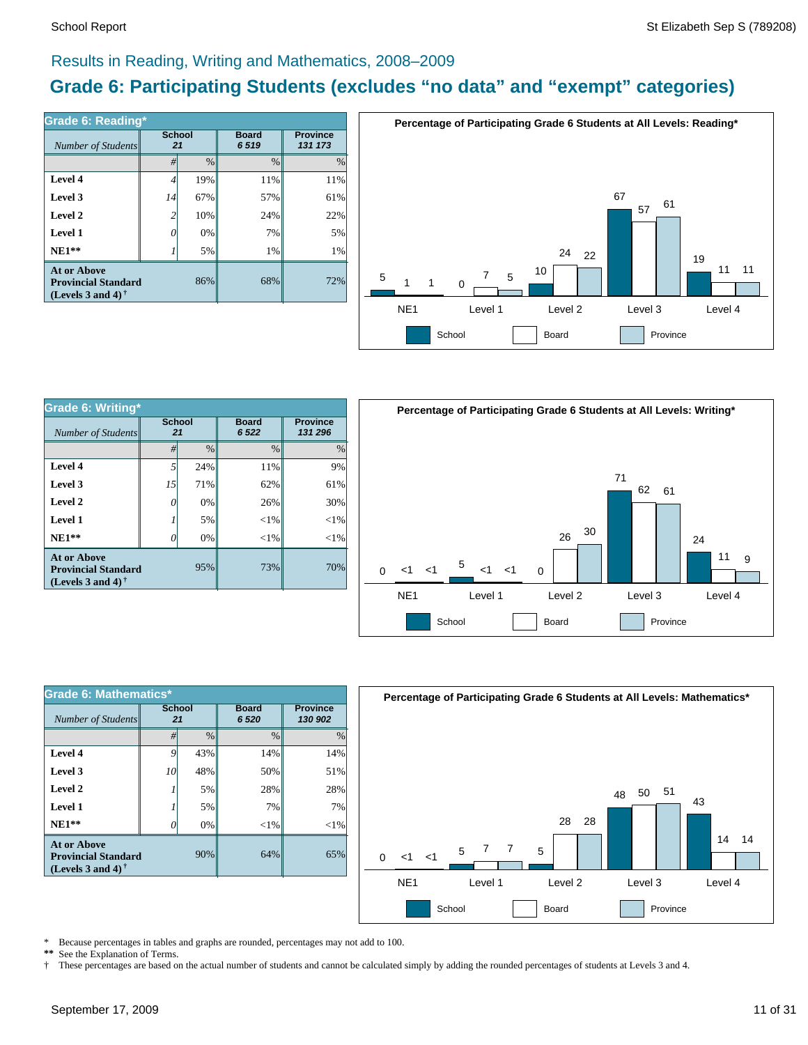### Results in Reading, Writing and Mathematics, 2008–2009

## **Grade 6: Participating Students (excludes "no data" and "exempt" categories)**

| Number of Students                                                             | Grade 6: Reading*<br><b>School</b><br>21 |      | <b>Board</b><br>6519 | <b>Province</b><br>131 173 |  |
|--------------------------------------------------------------------------------|------------------------------------------|------|----------------------|----------------------------|--|
|                                                                                | #                                        | $\%$ | $\%$                 | $\%$                       |  |
| Level 4                                                                        | 4                                        | 19%  | 11%                  | 11%                        |  |
| Level 3                                                                        | 14                                       | 67%  | 57%                  | 61%                        |  |
| Level 2                                                                        | $\overline{c}$                           | 10%  | 24%                  | 22%                        |  |
| Level 1                                                                        | G                                        | 0%   | 7%                   | 5%                         |  |
| $NE1**$                                                                        |                                          | 5%   | 1%                   | 1%                         |  |
| <b>At or Above</b><br><b>Provincial Standard</b><br>(Levels 3 and 4) $\dagger$ |                                          | 86%  | 68%                  | 72%                        |  |



| Grade 6: Writing*                                                              |                     |               |                        |               |  |  |  |
|--------------------------------------------------------------------------------|---------------------|---------------|------------------------|---------------|--|--|--|
| Number of Students                                                             | <b>School</b><br>21 |               | <b>Board</b><br>6 5 22 |               |  |  |  |
|                                                                                | #                   | $\frac{0}{0}$ | $\frac{0}{0}$          | $\frac{0}{0}$ |  |  |  |
| Level 4                                                                        | 5                   | 24%           | 11%                    | 9%            |  |  |  |
| Level 3                                                                        | 15                  | 71%           | 62%                    | 61%           |  |  |  |
| Level 2                                                                        | 0                   | 0%            | 26%                    | 30%           |  |  |  |
| Level 1                                                                        |                     | 5%            | $<$ 1%                 | $<$ 1%        |  |  |  |
| $NE1**$                                                                        | 0                   | 0%            | $<$ 1%                 | $<$ 1%        |  |  |  |
| <b>At or Above</b><br><b>Provincial Standard</b><br>(Levels 3 and 4) $\dagger$ |                     | 95%           | 73%                    | 70%           |  |  |  |



| Grade 6: Mathematics*                                                          |                     |               |                        |                            |  |  |  |
|--------------------------------------------------------------------------------|---------------------|---------------|------------------------|----------------------------|--|--|--|
| Number of Students                                                             | <b>School</b><br>21 |               | <b>Board</b><br>6 5 20 | <b>Province</b><br>130 902 |  |  |  |
|                                                                                | #                   | $\frac{0}{0}$ | $\frac{0}{0}$          | $\frac{0}{0}$              |  |  |  |
| Level 4                                                                        | 9                   | 43%           | 14%                    | 14%                        |  |  |  |
| Level 3                                                                        | 10                  | 48%           | 50%                    | 51%                        |  |  |  |
| Level 2                                                                        |                     | 5%            | 28%                    | 28%                        |  |  |  |
| Level 1                                                                        |                     | 5%            | 7%                     | 7%                         |  |  |  |
| $NE1**$                                                                        | 0                   | 0%            | $<$ 1%                 | $<$ 1%                     |  |  |  |
| At or Above<br>90%<br><b>Provincial Standard</b><br>(Levels 3 and 4) $\dagger$ |                     |               | 64%                    | 65%                        |  |  |  |



\* Because percentages in tables and graphs are rounded, percentages may not add to 100.<br>\*\* See the Explanation of Terms See the Explanation of Terms.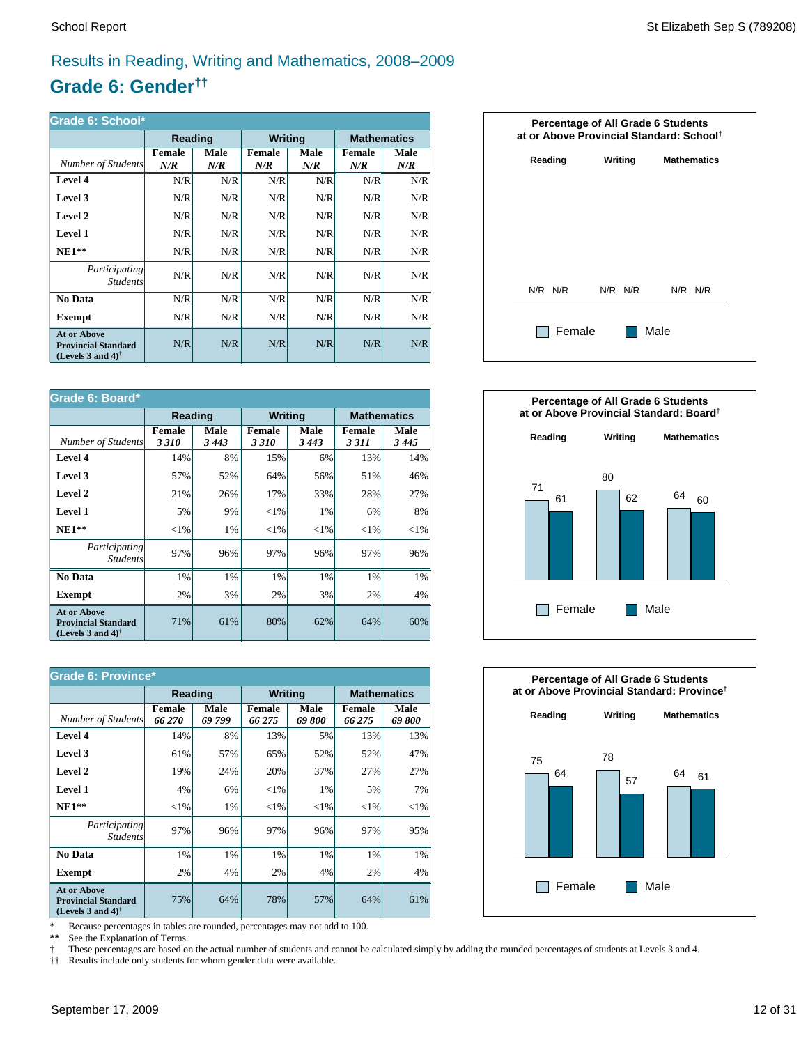## Results in Reading, Writing and Mathematics, 2008–2009

## **Grade 6: Gender††**

| Grade 6: School*                                                                                     |               |             |                |             |                      |             |  |  |
|------------------------------------------------------------------------------------------------------|---------------|-------------|----------------|-------------|----------------------|-------------|--|--|
|                                                                                                      | Reading       |             | <b>Writing</b> |             | <b>Mathematics</b>   |             |  |  |
| Number of Students                                                                                   | Female<br>N/R | Male<br>N/R | Female<br>N/R  | Male<br>N/R | <b>Female</b><br>N/R | Male<br>N/R |  |  |
| Level 4                                                                                              | N/R           | N/R         | N/R            | N/R         | N/R                  | N/R         |  |  |
| Level 3                                                                                              | N/R           | N/R         | N/R            | N/R         | N/R                  | N/R         |  |  |
| Level 2                                                                                              | N/R           | N/R         | N/R            | N/R         | N/R                  | N/R         |  |  |
| Level 1                                                                                              | N/R           | N/R         | N/R            | N/R         | N/R                  | N/R         |  |  |
| $NE1**$                                                                                              | N/R           | N/R         | N/R            | N/R         | N/R                  | N/R         |  |  |
| <i>Participating</i><br><i>Students</i>                                                              | N/R           | N/R         | N/R            | N/R         | N/R                  | N/R         |  |  |
| No Data                                                                                              | N/R           | N/R         | N/R            | N/R         | N/R                  | N/R         |  |  |
| Exempt                                                                                               | N/R           | N/R         | N/R            | N/R         | N/R                  | N/R         |  |  |
| <b>At or Above</b><br><b>Provincial Standard</b><br>(Levels 3 and 4) <sup><math>\dagger</math></sup> | N/R           | N/R         | N/R            | N/R         | N/R                  | N/R         |  |  |

| Grade 6: Board*                                                                                      |                       |                 |                       |                 |                          |                    |  |
|------------------------------------------------------------------------------------------------------|-----------------------|-----------------|-----------------------|-----------------|--------------------------|--------------------|--|
|                                                                                                      | Reading               |                 | <b>Writing</b>        |                 |                          | <b>Mathematics</b> |  |
| Number of Students                                                                                   | <b>Female</b><br>3310 | Male<br>3 4 4 3 | <b>Female</b><br>3310 | Male<br>3 4 4 3 | <b>Female</b><br>3 3 1 1 | Male<br>3445       |  |
| Level 4                                                                                              | 14%                   | 8%              | 15%                   | 6%              | 13%                      | 14%                |  |
| Level 3                                                                                              | 57%                   | 52%             | 64%                   | 56%             | 51%                      | 46%                |  |
| Level 2                                                                                              | 21%                   | 26%             | 17%                   | 33%             | 28%                      | 27%                |  |
| <b>Level 1</b>                                                                                       | 5%                    | 9%              | ${<}1\%$              | 1%              | 6%                       | 8%                 |  |
| $NE1**$                                                                                              | ${<}1\%$              | 1%              | ${<}1\%$              | ${<}1\%$        | ${<}1\%$                 | ${<}1\%$           |  |
| Participating<br><b>Students</b>                                                                     | 97%                   | 96%             | 97%                   | 96%             | 97%                      | 96%                |  |
| No Data                                                                                              | 1%                    | 1%              | 1%                    | 1%              | 1%                       | 1%                 |  |
| Exempt                                                                                               | 2%                    | 3%              | 2%                    | 3%              | 2%                       | 4%                 |  |
| <b>At or Above</b><br><b>Provincial Standard</b><br>(Levels 3 and 4) <sup><math>\dagger</math></sup> | 71%                   | 61%             | 80%                   | 62%             | 64%                      | 60%                |  |

| <b>Grade 6: Province*</b>                                                                            |                         |                |                         |                |                  |                    |  |
|------------------------------------------------------------------------------------------------------|-------------------------|----------------|-------------------------|----------------|------------------|--------------------|--|
|                                                                                                      | Reading                 |                | <b>Writing</b>          |                |                  | <b>Mathematics</b> |  |
| Number of Students                                                                                   | <b>Female</b><br>66 270 | Male<br>69 799 | <b>Female</b><br>66 275 | Male<br>69 800 | Female<br>66 275 | Male<br>69800      |  |
| Level 4                                                                                              | 14%                     | 8%             | 13%                     | 5%             | 13%              | 13%                |  |
| Level 3                                                                                              | 61%                     | 57%            | 65%                     | 52%            | 52%              | 47%                |  |
| Level 2                                                                                              | 19%                     | 24%            | 20%                     | 37%            | 27%              | 27%                |  |
| Level 1                                                                                              | 4%                      | 6%             | ${<}1\%$                | 1%             | 5%               | 7%                 |  |
| $NE1**$                                                                                              | ${<}1\%$                | 1%             | ${<}1\%$                | ${<}1\%$       | ${<}1\%$         | ${<}1\%$           |  |
| <i>Participating</i><br><i>Students</i>                                                              | 97%                     | 96%            | 97%                     | 96%            | 97%              | 95%                |  |
| No Data                                                                                              | 1%                      | 1%             | 1%                      | 1%             | 1%               | $1\%$              |  |
| <b>Exempt</b>                                                                                        | 2%                      | 4%             | 2%                      | 4%             | 2%               | $4\%$              |  |
| <b>At or Above</b><br><b>Provincial Standard</b><br>(Levels 3 and 4) <sup><math>\dagger</math></sup> | 75%                     | 64%            | 78%                     | 57%            | 64%              | 61%                |  |

\* Because percentages in tables are rounded, percentages may not add to 100.<br>\*\* See the Explanation of Terms.

See the Explanation of Terms.

† These percentages are based on the actual number of students and cannot be calculated simply by adding the rounded percentages of students at Levels 3 and 4.<br>†† Results include only students for whom gender data were ava

†† Results include only students for whom gender data were available.





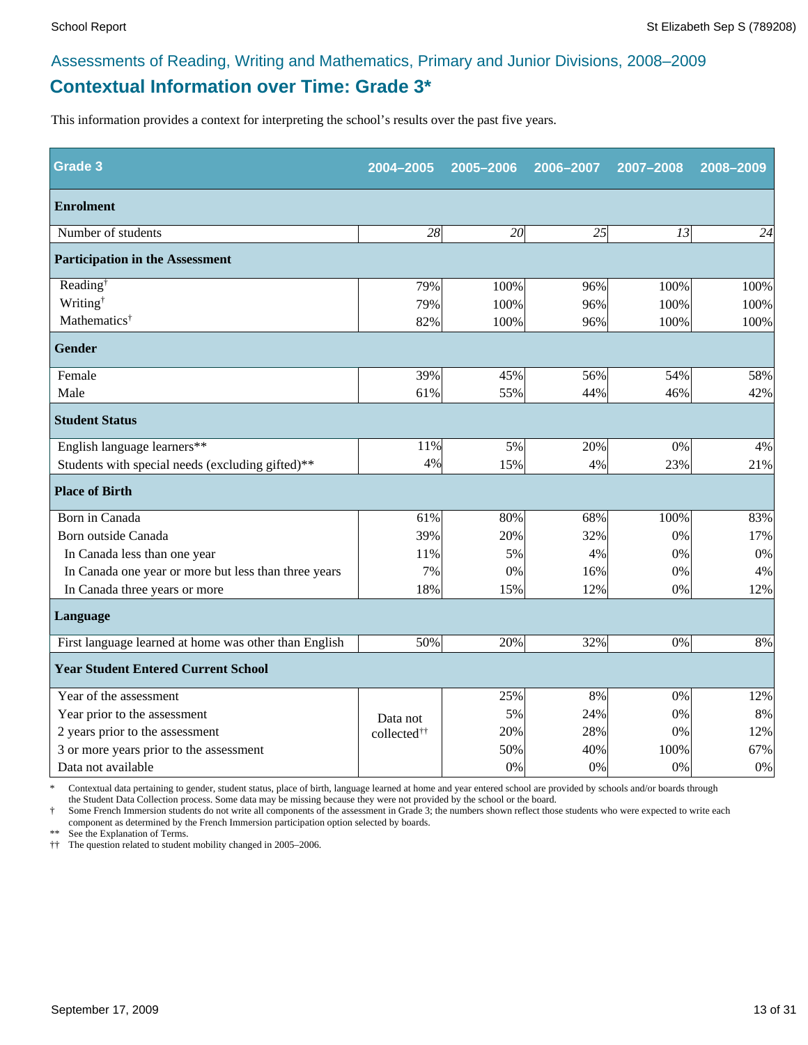## **Contextual Information over Time: Grade 3\*** Assessments of Reading, Writing and Mathematics, Primary and Junior Divisions, 2008–2009

This information provides a context for interpreting the school's results over the past five years.

| <b>Grade 3</b>                                        | 2004-2005               | 2005-2006 | 2006-2007 | 2007-2008 | 2008-2009 |
|-------------------------------------------------------|-------------------------|-----------|-----------|-----------|-----------|
| <b>Enrolment</b>                                      |                         |           |           |           |           |
| Number of students                                    | 28                      | 20        | 25        | 13        | 24        |
| <b>Participation in the Assessment</b>                |                         |           |           |           |           |
| Reading <sup>†</sup>                                  | 79%                     | 100%      | 96%       | 100%      | 100%      |
| Writing <sup>†</sup>                                  | 79%                     | 100%      | 96%       | 100%      | 100%      |
| Mathematics <sup>†</sup>                              | 82%                     | 100%      | 96%       | 100%      | 100%      |
| <b>Gender</b>                                         |                         |           |           |           |           |
| Female                                                | 39%                     | 45%       | 56%       | 54%       | 58%       |
| Male                                                  | 61%                     | 55%       | 44%       | 46%       | 42%       |
| <b>Student Status</b>                                 |                         |           |           |           |           |
| English language learners**                           | 11%                     | 5%        | 20%       | 0%        | 4%        |
| Students with special needs (excluding gifted)**      | 4%                      | 15%       | 4%        | 23%       | 21%       |
| <b>Place of Birth</b>                                 |                         |           |           |           |           |
| Born in Canada                                        | 61%                     | 80%       | 68%       | 100%      | 83%       |
| Born outside Canada                                   | 39%                     | 20%       | 32%       | 0%        | 17%       |
| In Canada less than one year                          | 11%                     | 5%        | 4%        | 0%        | 0%        |
| In Canada one year or more but less than three years  | 7%                      | 0%        | 16%       | 0%        | 4%        |
| In Canada three years or more                         | 18%                     | 15%       | 12%       | 0%        | 12%       |
| Language                                              |                         |           |           |           |           |
| First language learned at home was other than English | 50%                     | 20%       | 32%       | 0%        | 8%        |
| <b>Year Student Entered Current School</b>            |                         |           |           |           |           |
| Year of the assessment                                |                         | 25%       | 8%        | 0%        | 12%       |
| Year prior to the assessment                          | Data not                | 5%        | 24%       | 0%        | 8%        |
| 2 years prior to the assessment                       | collected <sup>††</sup> | 20%       | 28%       | 0%        | 12%       |
| 3 or more years prior to the assessment               |                         | 50%       | 40%       | 100%      | 67%       |
| Data not available                                    |                         | 0%        | 0%        | 0%        | $0\%$     |

\* Contextual data pertaining to gender, student status, place of birth, language learned at home and year entered school are provided by schools and/or boards through

the Student Data Collection process. Some data may be missing because they were not provided by the school or the board. Some French Immersion students do not write all components of the assessment in Grade 3; the numbers shown reflect those students who were expected to write each

component as determined by the French Immersion participation option selected by boards.

\*\* See the Explanation of Terms.

†† The question related to student mobility changed in 2005–2006.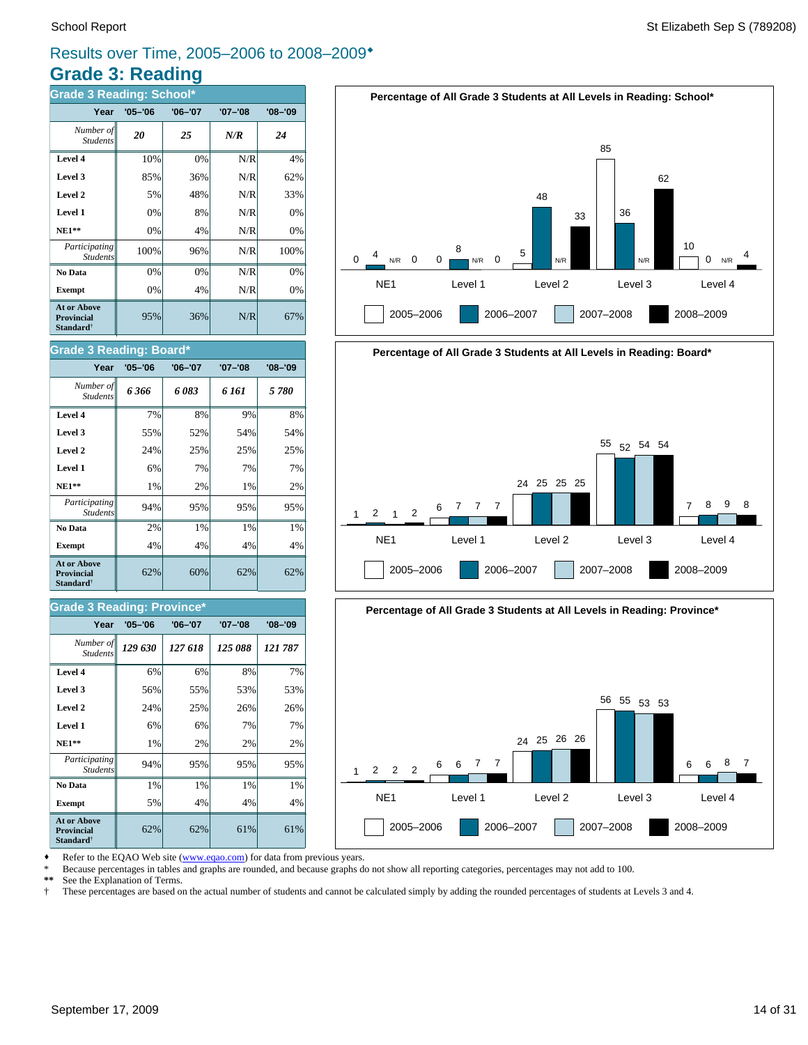## **Grade 3: Reading** Results over Time, 2005–2006 to 2008–2009\*

| <b>Grade 3 Reading: School*</b>                                  |             |             |             |             |  |  |  |
|------------------------------------------------------------------|-------------|-------------|-------------|-------------|--|--|--|
| Year                                                             | $'05 - '06$ | $'06 - '07$ | $'07 - '08$ | $'08 - '09$ |  |  |  |
| Number of<br><b>Students</b>                                     | 20          | 25          | N/R         | 24          |  |  |  |
| Level 4                                                          | 10%         | 0%          | N/R         | 4%          |  |  |  |
| Level 3                                                          | 85%         | 36%         | N/R         | 62%         |  |  |  |
| Level 2                                                          | 5%          | 48%         | N/R         | 33%         |  |  |  |
| Level 1                                                          | 0%          | 8%          | N/R         | 0%          |  |  |  |
| $NE1**$                                                          | 0%          | 4%          | N/R         | 0%          |  |  |  |
| Participating<br><b>Students</b>                                 | 100%        | 96%         | N/R         | 100%        |  |  |  |
| No Data                                                          | 0%          | 0%          | N/R         | 0%          |  |  |  |
| <b>Exempt</b>                                                    | 0%          | 4%          | N/R         | 0%          |  |  |  |
| <b>At or Above</b><br>Provincial<br><b>Standard</b> <sup>†</sup> | 95%         | 36%         | N/R         | 67%         |  |  |  |



# **Percentage of All Grade 3 Students at All Levels in Reading: Board\*** NE1 Level 1 Level 2 Level 3 Level 4 1 2005–2006 2006–2007 2007–2008 2008–2009 <sup>2</sup> <sup>1</sup> <sup>2</sup> <sup>6</sup> <sup>7</sup> <sup>7</sup> <sup>7</sup> 24 25 25 25 55 52 54 54 7 8 9 8



Refer to the EQAO Web site (www.eqao.com) for data from previous years.

\* Because percentages in tables and graphs are rounded, and because graphs do not show all reporting categories, percentages may not add to 100.

**\*\*** See the Explanation of Terms.

† These percentages are based on the actual number of students and cannot be calculated simply by adding the rounded percentages of students at Levels 3 and 4.

### **No Data**  $\begin{array}{|c|c|c|c|c|} \hline \textbf{0} & 2\% & 1\% & 1\% \hline \end{array}$ *Participating* 94% 95% 95% 95% *Student*

Student.

**Grade 3 Reading: Board\***

| At or Above<br><b>Provincial</b><br>Standard <sup>†</sup> | ናን% | 60%  |  |  |  |  |  |  |
|-----------------------------------------------------------|-----|------|--|--|--|--|--|--|
| <b>Grade 3 Reading: Province*</b>                         |     |      |  |  |  |  |  |  |
| $\cdots$                                                  |     | $-1$ |  |  |  |  |  |  |

**Exempt**  $\begin{vmatrix} 4\% & 4\% \end{vmatrix}$  4% 4% 4%

**NE1\*\***  $\begin{vmatrix} 1\% & 2\% \end{vmatrix}$  1% 2% 2% **Level 1** 6% 7% 7% 7% 7% **Level 2**  $\begin{array}{|c|c|c|c|} \hline \end{array}$  24% 25% 25% 25% **Level 3 1** 55% 52% 54% 54% **Level 4** 7% 8% 9% 8% *6 366 6 083 6 161 5 780 Number of*

**Year '05–'06 '06–'07 '07–'08 '08–'09**

| Year                                                                    | $'05 - '06$ | '06-'07 | '07-'08 | '08-'09 |
|-------------------------------------------------------------------------|-------------|---------|---------|---------|
| Number of<br><b>Students</b>                                            | 129 630     | 127 618 | 125 088 | 121 787 |
| Level 4                                                                 | 6%          | 6%      | 8%      | 7%      |
| Level 3                                                                 | 56%         | 55%     | 53%     | 53%     |
| Level 2                                                                 | 24%         | 25%     | 26%     | 26%     |
| Level 1                                                                 | 6%          | 6%      | 7%      | 7%      |
| $NE1**$                                                                 | 1%          | 2%      | 2%      | 2%      |
| Participating<br><b>Students</b>                                        | 94%         | 95%     | 95%     | 95%     |
| No Data                                                                 | 1%          | 1%      | 1%      | 1%      |
| <b>Exempt</b>                                                           | 5%          | 4%      | 4%      | 4%      |
| <b>At or Above</b><br><b>Provincial</b><br><b>Standard</b> <sup>†</sup> | 62%         | 62%     | 61%     | 61%     |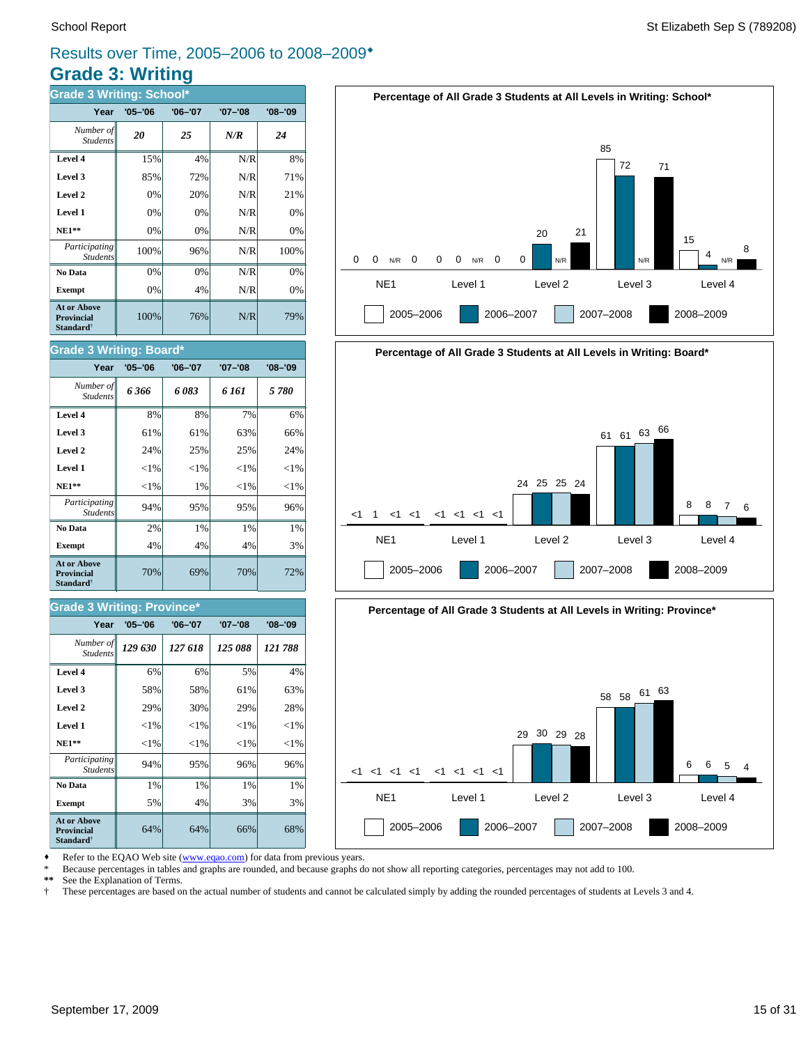## **Grade 3: Writing** Results over Time, 2005–2006 to 2008–2009\*

| <b>Grade 3 Writing: School*</b>                                         |             |             |             |             |  |  |  |
|-------------------------------------------------------------------------|-------------|-------------|-------------|-------------|--|--|--|
| Year                                                                    | $'05 - '06$ | $'06 - '07$ | $'07 - '08$ | $'08 - '09$ |  |  |  |
| Number of<br><b>Students</b>                                            | 20          | 25          | N/R         | 24          |  |  |  |
| Level 4                                                                 | 15%         | 4%          | N/R         | 8%          |  |  |  |
| Level 3                                                                 | 85%         | 72%         | N/R         | 71%         |  |  |  |
| Level 2                                                                 | 0%          | 20%         | N/R         | 21%         |  |  |  |
| Level 1                                                                 | 0%          | 0%          | N/R         | 0%          |  |  |  |
| <b>NE1**</b>                                                            | 0%          | 0%          | N/R         | 0%          |  |  |  |
| Participating<br><b>Students</b>                                        | 100%        | 96%         | N/R         | 100%        |  |  |  |
| No Data                                                                 | 0%          | 0%          | N/R         | 0%          |  |  |  |
| <b>Exempt</b>                                                           | 0%          | 4%          | N/R         | 0%          |  |  |  |
| <b>At or Above</b><br><b>Provincial</b><br><b>Standard</b> <sup>†</sup> | 100%        | 76%         | N/R         | 79%         |  |  |  |

### School Report St Elizabeth Sep S (789208)



# **Percentage of All Grade 3 Students at All Levels in Writing: Board\*** NE1 Level 1 Level 2 Level 3 Level 4  $<1$ 2005–2006 2006–2007 2007–2008 2008–2009  $1 < 1 < 1 < 1 < 1 < 1 < 1$ 24 25 25 24 <sup>61</sup> <sup>61</sup> <sup>63</sup> <sup>66</sup> 8 8 7 6



Refer to the EQAO Web site (www.eqao.com) for data from previous years.

**Exempt**  $\begin{vmatrix} 5\% & 4\% \end{vmatrix}$  3% 3% **No Data**  $\begin{array}{|c|c|c|c|} \hline \textbf{No Data} & 1\% & 1\% & 1\% \hline \end{array}$ *Participating* 94% 95% 96% 96%

**NE1\*\***  $\| \le 1\% \| \le 1\% \| \le 1\% \| \le 1\%$  **Level 1** <1% <1% <1% <1% **Level 2**  $\begin{vmatrix} 2.9\% & 30\% & 29\% \end{vmatrix}$  29% 28% **Level 3**  $\begin{vmatrix} 58\% & 58\% \end{vmatrix}$  61% 63% **Level 4**  $\begin{vmatrix} 6\% & 6\% \end{vmatrix}$  6% 5% 4%

64% 64% 66% 68%

70% 69% 70% 72%

**Exempt**  $\begin{array}{|c|c|c|c|} \hline \end{array}$  4% 4% 4% 4% 3% **No Data**  $\begin{array}{|c|c|c|c|} \hline \textbf{No Data} & 2\% & 1\% & 1\% \hline \end{array}$ *Participating* 94% 95% 95% 96%

*129 630 127 618 125 088 121 788 Number of*

**Year '05–'06 '06–'07 '07–'08 '08–'09**

 **NE1\*\*** <1% 1% <1% <1% **Level 1**  $\left| \begin{array}{c} | & | & | \leq 1\% & | & | \leq 1\% & | \leq 1\% & | \end{array} \right|$ **Level 2**  $\begin{vmatrix} 24\% & 25\% \end{vmatrix}$  25% 24% **Level 3**  $\begin{vmatrix} 61\% & 61\% \end{vmatrix}$  63% 66% **Level 4** 8% 8% 7% 6% *6 366 6 083 6 161 5 780 Number of*

**Year '05–'06 '06–'07 '07–'08 '08–'09**

Students

**At or Above Provincial Standard**†

Student.

**Grade 3 Writing: Board\***

\* Because percentages in tables and graphs are rounded, and because graphs do not show all reporting categories, percentages may not add to 100.

**\*\*** See the Explanation of Terms.

*Student* 

**At or Above Provincial Standard**†

*Students*

**Grade 3 Writing: Province\***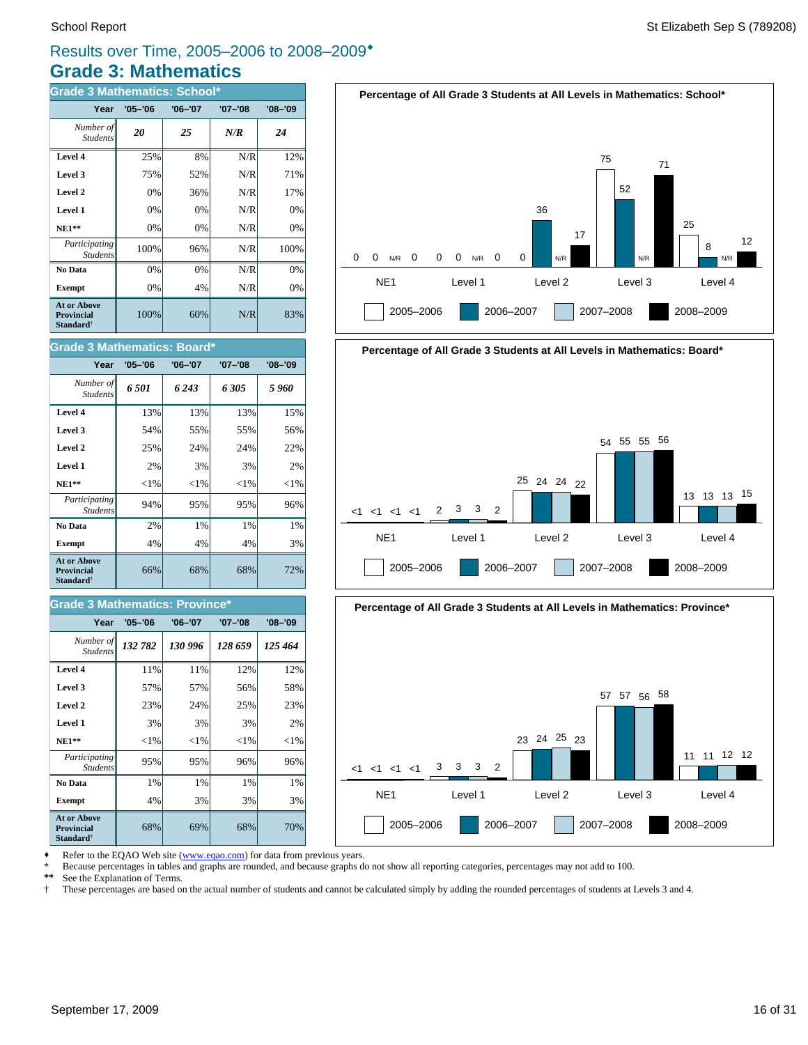## **Grade 3: Mathematics** Results over Time, 2005–2006 to 2008–2009\*

| <b>Grade 3 Mathematics: School*</b>                              |             |             |         |             |  |  |  |
|------------------------------------------------------------------|-------------|-------------|---------|-------------|--|--|--|
| Year                                                             | $'05 - '06$ | $'06 - '07$ | '07–'08 | $'08 - '09$ |  |  |  |
| Number of<br><b>Students</b>                                     | 20          | 25          | N/R     | 24          |  |  |  |
| Level 4                                                          | 25%         | 8%          | N/R     | 12%         |  |  |  |
| Level 3                                                          | 75%         | 52%         | N/R     | 71%         |  |  |  |
| Level 2                                                          | 0%          | 36%         | N/R     | 17%         |  |  |  |
| Level 1                                                          | 0%          | 0%          | N/R     | 0%          |  |  |  |
| $NE1**$                                                          | 0%          | $0\%$       | N/R     | 0%          |  |  |  |
| Participating<br><b>Students</b>                                 | 100%        | 96%         | N/R     | 100%        |  |  |  |
| No Data                                                          | 0%          | 0%          | N/R     | 0%          |  |  |  |
| <b>Exempt</b>                                                    | 0%          | 4%          | N/R     | 0%          |  |  |  |
| <b>At or Above</b><br>Provincial<br><b>Standard</b> <sup>†</sup> | 100%        | 60%         | N/R     | 83%         |  |  |  |

| <b>Grade 3 Mathematics: Board*</b>                                      |             |             |             |             |  |  |  |
|-------------------------------------------------------------------------|-------------|-------------|-------------|-------------|--|--|--|
| Year                                                                    | $'05 - '06$ | $'06 - '07$ | $'07 - '08$ | $'08 - '09$ |  |  |  |
| Number of<br><b>Students</b>                                            | 6.501       | 6 243       | 6.305       | 5960        |  |  |  |
| Level 4                                                                 | 13%         | 13%         | 13%         | 15%         |  |  |  |
| Level 3                                                                 | 54%         | 55%         | 55%         | 56%         |  |  |  |
| Level 2                                                                 | 25%         | 24%         | 24%         | 22%         |  |  |  |
| Level 1                                                                 | 2%          | 3%          | 3%          | 2%          |  |  |  |
| <b>NE1**</b>                                                            | ${<}1\%$    | ${<}1\%$    | ${<}1\%$    | ${<}1\%$    |  |  |  |
| Participating<br><b>Students</b>                                        | 94%         | 95%         | 95%         | 96%         |  |  |  |
| No Data                                                                 | 2%          | 1%          | 1%          | 1%          |  |  |  |
| <b>Exempt</b>                                                           | 4%          | 4%          | 4%          | 3%          |  |  |  |
| <b>At or Above</b><br><b>Provincial</b><br><b>Standard</b> <sup>†</sup> | 66%         | 68%         | 68%         | 72%         |  |  |  |

### **Grade 3 Mathematics: Province\***

| Year                                                                    | $'05 - '06$ | $'06 - '07$ | $'07 - '08$ | $'08 - '09$ |
|-------------------------------------------------------------------------|-------------|-------------|-------------|-------------|
| Number of<br><b>Students</b>                                            | 132 782     | 130 996     | 128 659     | 125 464     |
| Level 4                                                                 | 11%         | 11%         | 12%         | 12%         |
| Level 3                                                                 | 57%         | 57%         | 56%         | 58%         |
| Level 2                                                                 | 23%         | 24%         | 25%         | 23%         |
| Level 1                                                                 | 3%          | 3%          | 3%          | 2%          |
| $NE1**$                                                                 | ${<}1\%$    | ${<}1\%$    | ${<}1\%$    | ${<}1\%$    |
| Participating<br><b>Students</b>                                        | 95%         | 95%         | 96%         | 96%         |
| No Data                                                                 | 1%          | 1%          | 1%          | 1%          |
| <b>Exempt</b>                                                           | 4%          | 3%          | 3%          | 3%          |
| <b>At or Above</b><br><b>Provincial</b><br><b>Standard</b> <sup>†</sup> | 68%         | 69%         | 68%         | 70%         |







Refer to the EQAO Web site (www.eqao.com) for data from previous years.

\* Because percentages in tables and graphs are rounded, and because graphs do not show all reporting categories, percentages may not add to 100.<br>\*\* See the Explanation of Terms

\*\* See the Explanation of Terms.<br><sup>†</sup> These percentages are based on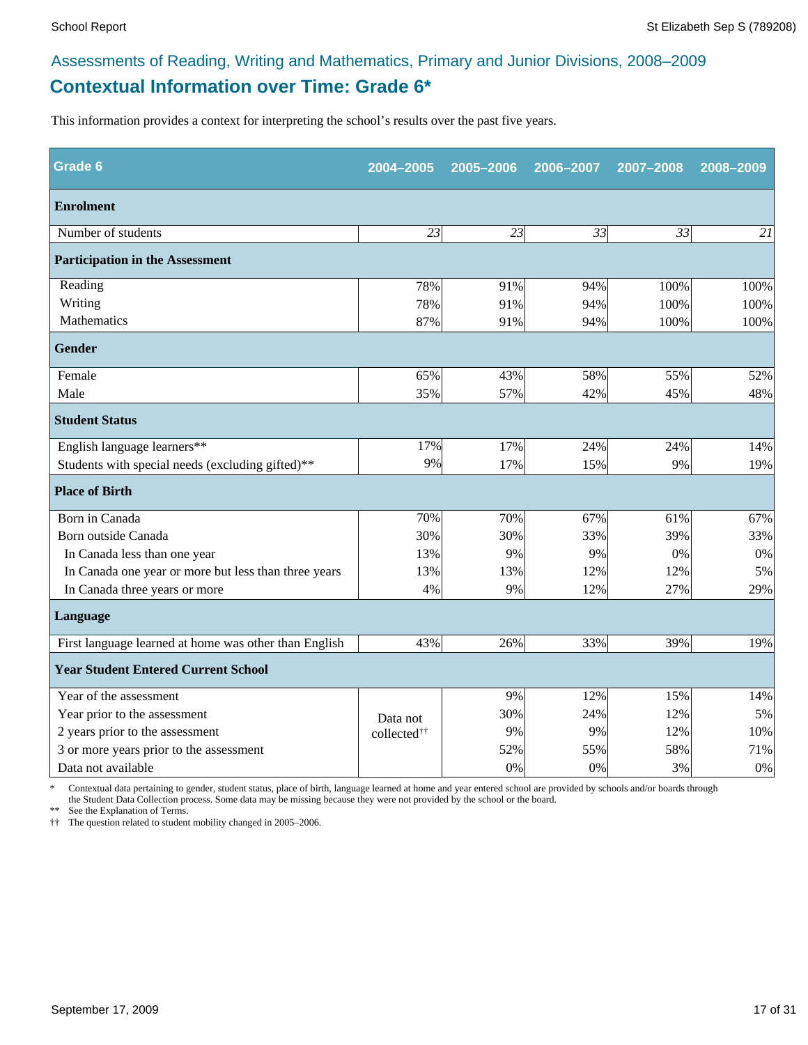## **Contextual Information over Time: Grade 6\*** Assessments of Reading, Writing and Mathematics, Primary and Junior Divisions, 2008–2009

This information provides a context for interpreting the school's results over the past five years.

| <b>Grade 6</b>                                        | 2004-2005               | 2005-2006 | 2006-2007 | 2007-2008 | 2008-2009 |
|-------------------------------------------------------|-------------------------|-----------|-----------|-----------|-----------|
| <b>Enrolment</b>                                      |                         |           |           |           |           |
| Number of students                                    | 23                      | 23        | 33        | 33        | 21        |
| <b>Participation in the Assessment</b>                |                         |           |           |           |           |
| Reading                                               | 78%                     | 91%       | 94%       | 100%      | 100%      |
| Writing                                               | 78%                     | 91%       | 94%       | 100%      | 100%      |
| Mathematics                                           | 87%                     | 91%       | 94%       | 100%      | 100%      |
| Gender                                                |                         |           |           |           |           |
| Female                                                | 65%                     | 43%       | 58%       | 55%       | 52%       |
| Male                                                  | 35%                     | 57%       | 42%       | 45%       | 48%       |
| <b>Student Status</b>                                 |                         |           |           |           |           |
| English language learners**                           | 17%                     | 17%       | 24%       | 24%       | 14%       |
| Students with special needs (excluding gifted)**      | 9%                      | 17%       | 15%       | 9%        | 19%       |
| <b>Place of Birth</b>                                 |                         |           |           |           |           |
| Born in Canada                                        | 70%                     | 70%       | 67%       | 61%       | 67%       |
| Born outside Canada                                   | 30%                     | 30%       | 33%       | 39%       | 33%       |
| In Canada less than one year                          | 13%                     | 9%        | 9%        | 0%        | 0%        |
| In Canada one year or more but less than three years  | 13%                     | 13%       | 12%       | 12%       | 5%        |
| In Canada three years or more                         | 4%                      | 9%        | 12%       | 27%       | 29%       |
| Language                                              |                         |           |           |           |           |
| First language learned at home was other than English | 43%                     | 26%       | 33%       | 39%       | 19%       |
| <b>Year Student Entered Current School</b>            |                         |           |           |           |           |
| Year of the assessment                                |                         | 9%        | 12%       | 15%       | 14%       |
| Year prior to the assessment                          | Data not                | 30%       | 24%       | 12%       | 5%        |
| 2 years prior to the assessment                       | collected <sup>††</sup> | 9%        | 9%        | 12%       | 10%       |
| 3 or more years prior to the assessment               |                         | 52%       | 55%       | 58%       | 71%       |
| Data not available                                    |                         | 0%        | 0%        | 3%        | 0%        |

\* Contextual data pertaining to gender, student status, place of birth, language learned at home and year entered school are provided by schools and/or boards through the Student Data Collection process. Some data may be missing because they were not provided by the school or the board.

\*\* See the Explanation of Terms.

†† The question related to student mobility changed in 2005–2006.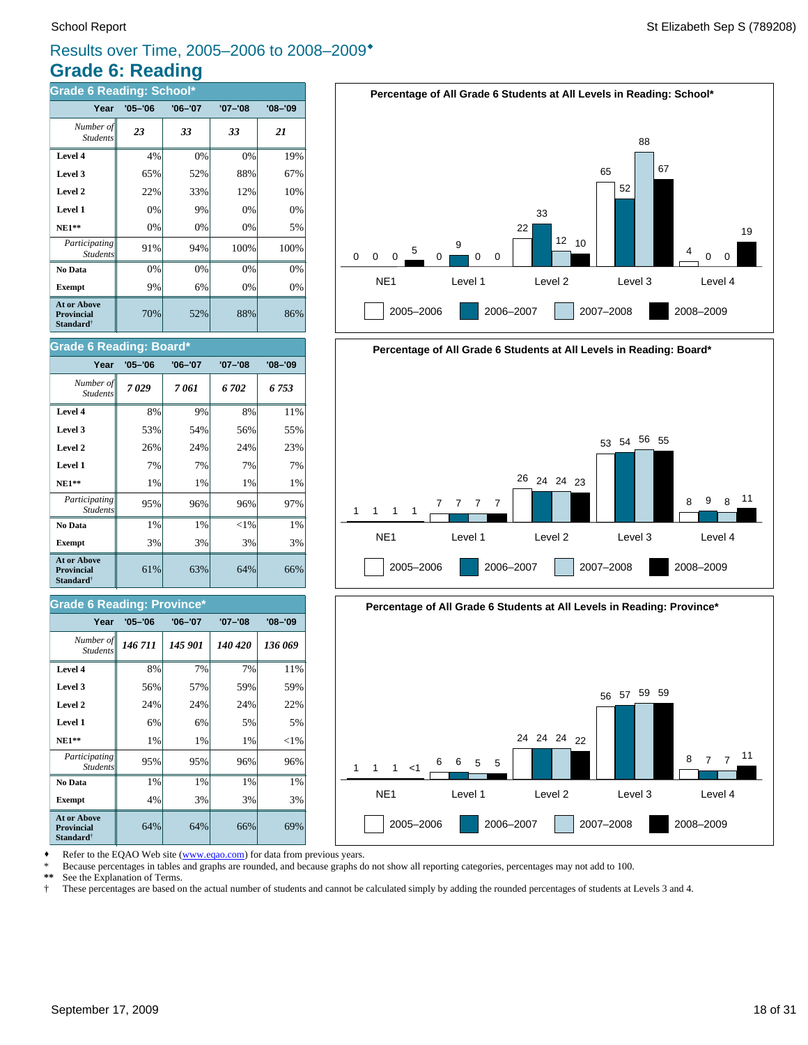## **Grade 6: Reading** Results over Time, 2005–2006 to 2008–2009\*

| <b>Grade 6 Reading: School*</b>                                         |             |             |         |             |
|-------------------------------------------------------------------------|-------------|-------------|---------|-------------|
| Year                                                                    | $'05 - '06$ | $'06 - '07$ | '07-'08 | $'08 - '09$ |
| Number of<br><b>Students</b>                                            | 23          | 33          | 33      | 21          |
| Level 4                                                                 | 4%          | 0%          | 0%      | 19%         |
| Level 3                                                                 | 65%         | 52%         | 88%     | 67%         |
| Level 2                                                                 | 22%         | 33%         | 12%     | 10%         |
| Level 1                                                                 | 0%          | 9%          | 0%      | 0%          |
| $NE1**$                                                                 | 0%          | 0%          | 0%      | 5%          |
| Participating<br><b>Students</b>                                        | 91%         | 94%         | 100%    | 100%        |
| No Data                                                                 | 0%          | 0%          | 0%      | 0%          |
| <b>Exempt</b>                                                           | 9%          | 6%          | 0%      | 0%          |
| <b>At or Above</b><br><b>Provincial</b><br><b>Standard</b> <sup>†</sup> | 70%         | 52%         | 88%     | 86%         |

### **Grade 6 Reading: Board\***

| Oraut o Negulity. Dodiu                                                 |             |             |          |         |  |
|-------------------------------------------------------------------------|-------------|-------------|----------|---------|--|
| Year                                                                    | $'05 - '06$ | $'06 - '07$ | '07-'08  | '08-'09 |  |
| Number of<br><b>Students</b>                                            | 7029        | 7 061       | 6702     | 6 753   |  |
| Level 4                                                                 | 8%          | 9%          | 8%       | 11%     |  |
| Level 3                                                                 | 53%         | 54%         | 56%      | 55%     |  |
| Level 2                                                                 | 26%         | 24%         | 24%      | 23%     |  |
| Level 1                                                                 | 7%          | 7%          | 7%       | 7%      |  |
| $NE1**$                                                                 | 1%          | 1%          | 1%       | 1%      |  |
| Participating<br><b>Students</b>                                        | 95%         | 96%         | 96%      | 97%     |  |
| No Data                                                                 | 1%          | 1%          | ${<}1\%$ | 1%      |  |
| <b>Exempt</b>                                                           | 3%          | 3%          | 3%       | 3%      |  |
| <b>At or Above</b><br><b>Provincial</b><br><b>Standard</b> <sup>†</sup> | 61%         | 63%         | 64%      | 66%     |  |

### **Grade 6 Reading: Province\***

| Year                                                                    | $'05 - '06$ | $'06 - '07$ | '07-'08 | '08-'09  |
|-------------------------------------------------------------------------|-------------|-------------|---------|----------|
| Number of<br><b>Students</b>                                            | 146 711     | 145 901     | 140 420 | 136 069  |
| Level 4                                                                 | 8%          | 7%          | 7%      | 11%      |
| Level 3                                                                 | 56%         | 57%         | 59%     | 59%      |
| Level 2                                                                 | 24%         | 24%         | 24%     | 22%      |
| Level 1                                                                 | 6%          | 6%          | 5%      | 5%       |
| $NE1**$                                                                 | 1%          | 1%          | 1%      | ${<}1\%$ |
| Participating<br><b>Students</b>                                        | 95%         | 95%         | 96%     | 96%      |
| No Data                                                                 | 1%          | 1%          | 1%      | 1%       |
| <b>Exempt</b>                                                           | 4%          | 3%          | 3%      | 3%       |
| <b>At or Above</b><br><b>Provincial</b><br><b>Standard</b> <sup>†</sup> | 64%         | 64%         | 66%     | 69%      |







Refer to the EQAO Web site (www.eqao.com) for data from previous years.

\* Because percentages in tables and graphs are rounded, and because graphs do not show all reporting categories, percentages may not add to 100.

**\*\*** See the Explanation of Terms.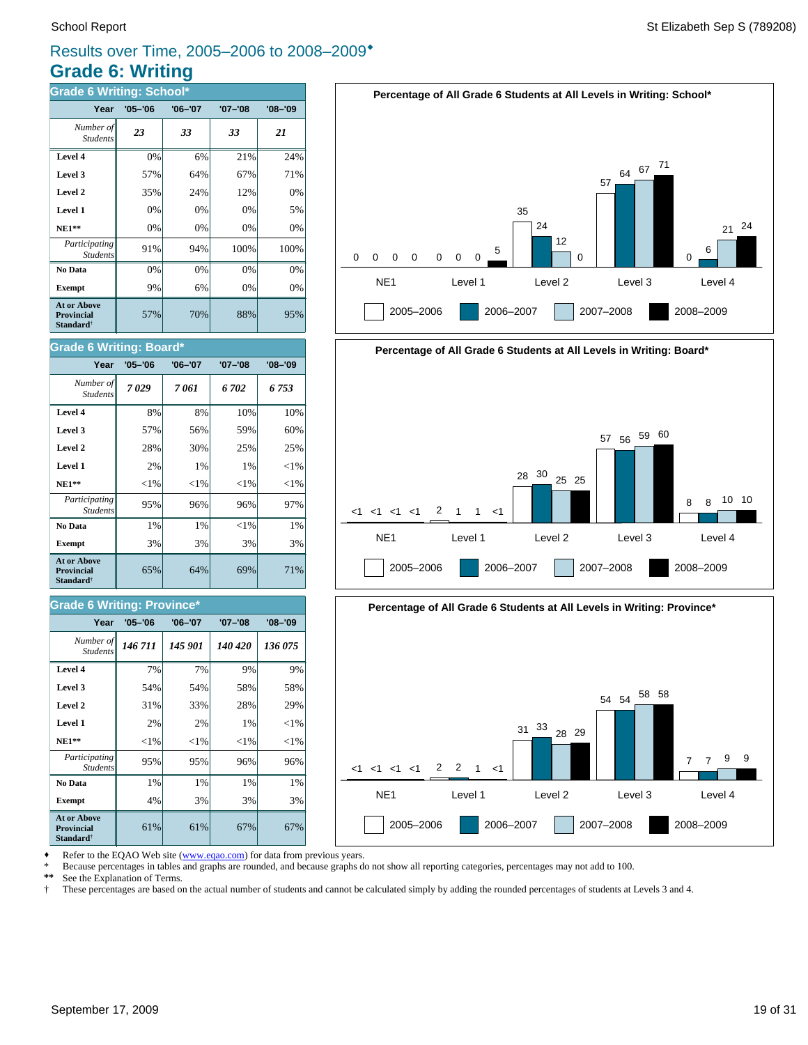## **Grade 6: Writing** Results over Time, 2005–2006 to 2008–2009\*

| <b>Grade 6 Writing: School*</b>                                         |             |             |             |             |
|-------------------------------------------------------------------------|-------------|-------------|-------------|-------------|
| Year                                                                    | $'05 - '06$ | $'06 - '07$ | $'07 - '08$ | $'08 - '09$ |
| Number of<br><b>Students</b>                                            | 23          | 33          | 33          | 21          |
| Level 4                                                                 | 0%          | 6%          | 21%         | 24%         |
| Level 3                                                                 | 57%         | 64%         | 67%         | 71%         |
| Level 2                                                                 | 35%         | 24%         | 12%         | 0%          |
| Level 1                                                                 | 0%          | 0%          | 0%          | 5%          |
| <b>NE1**</b>                                                            | 0%          | 0%          | 0%          | 0%          |
| Participating<br><b>Students</b>                                        | 91%         | 94%         | 100%        | 100%        |
| No Data                                                                 | 0%          | 0%          | 0%          | 0%          |
| <b>Exempt</b>                                                           | 9%          | 6%          | 0%          | 0%          |
| <b>At or Above</b><br><b>Provincial</b><br><b>Standard</b> <sup>†</sup> | 57%         | 70%         | 88%         | 95%         |

### **Grade 6 Writing: Board\***

| Year                                                             | $'05 - '06$ | $'06 - '07$ | '07-'08  | $'08 - '09$ |
|------------------------------------------------------------------|-------------|-------------|----------|-------------|
| Number of<br><b>Students</b>                                     | 7029        | 7061        | 6702     | 6753        |
| Level 4                                                          | 8%          | 8%          | 10%      | 10%         |
| Level 3                                                          | 57%         | 56%         | 59%      | 60%         |
| Level 2                                                          | 28%         | 30%         | 25%      | 25%         |
| Level 1                                                          | 2%          | 1%          | 1%       | ${<}1\%$    |
| $NE1**$                                                          | ${<}1\%$    | ${<}1\%$    | ${<}1\%$ | ${<}1\%$    |
| Participating<br><b>Students</b>                                 | 95%         | 96%         | 96%      | 97%         |
| No Data                                                          | 1%          | 1%          | ${<}1\%$ | 1%          |
| <b>Exempt</b>                                                    | 3%          | 3%          | 3%       | 3%          |
| <b>At or Above</b><br>Provincial<br><b>Standard</b> <sup>†</sup> | 65%         | 64%         | 69%      | 71%         |

### **Grade 6 Writing: Province\***

| Year                                                                    | $'05 - '06$ | $'06 - '07$ | $'07 - '08$ | $'08 - '09$ |
|-------------------------------------------------------------------------|-------------|-------------|-------------|-------------|
| Number of<br><b>Students</b>                                            | 146 711     | 145 901     | 140 420     | 136 075     |
| Level 4                                                                 | 7%          | 7%          | 9%          | 9%          |
| Level 3                                                                 | 54%         | 54%         | 58%         | 58%         |
| Level 2                                                                 | 31%         | 33%         | 28%         | 29%         |
| Level 1                                                                 | 2%          | 2%          | 1%          | ${<}1\%$    |
| $NE1**$                                                                 | ${<}1\%$    | ${<}1\%$    | ${<}1\%$    | ${<}1\%$    |
| Participating<br><b>Students</b>                                        | 95%         | 95%         | 96%         | 96%         |
| No Data                                                                 | 1%          | 1%          | 1%          | 1%          |
| <b>Exempt</b>                                                           | 4%          | 3%          | 3%          | 3%          |
| <b>At or Above</b><br><b>Provincial</b><br><b>Standard</b> <sup>†</sup> | 61%         | 61%         | 67%         | 67%         |





2005–2006 2006–2007 2007–2008 2008–2009



Refer to the EQAO Web site (www.eqao.com) for data from previous years.

\* Because percentages in tables and graphs are rounded, and because graphs do not show all reporting categories, percentages may not add to 100.<br>\*\* See the Explanation of Terms

\*\* See the Explanation of Terms.<br><sup>†</sup> These percentages are based on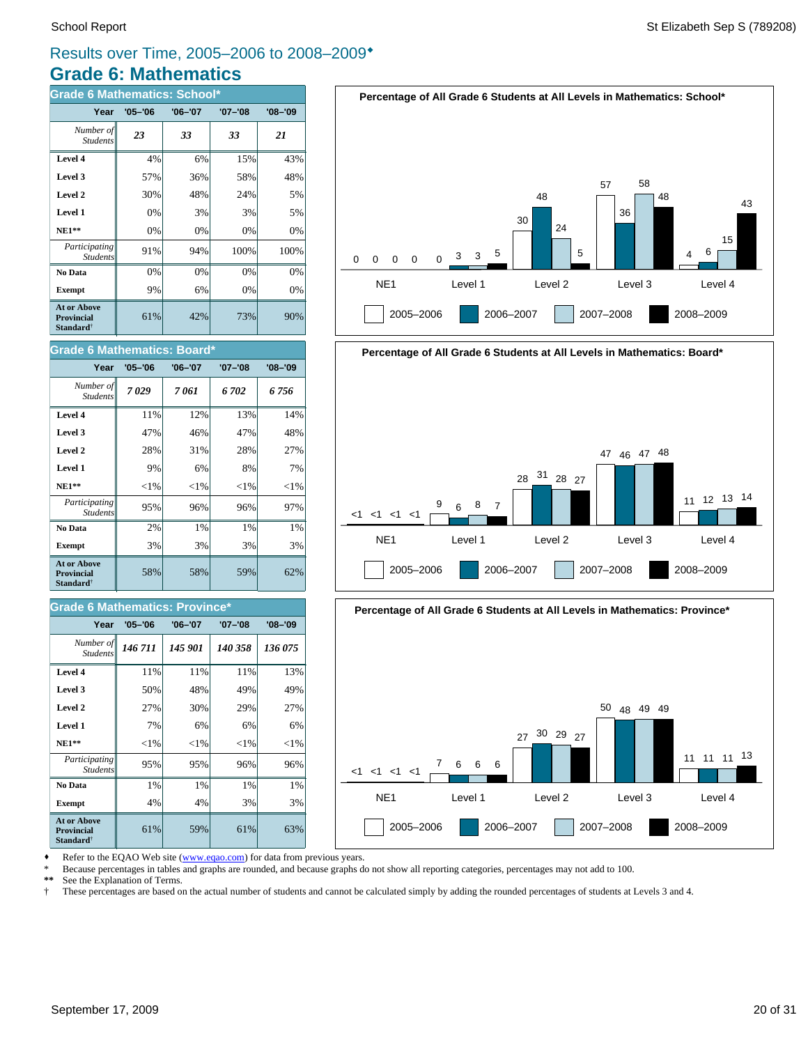## **Grade 6: Mathematics** Results over Time, 2005–2006 to 2008–2009\*

| <b>Grade 6 Mathematics: School*</b>                                     |             |             |             |             |  |
|-------------------------------------------------------------------------|-------------|-------------|-------------|-------------|--|
| Year                                                                    | $'05 - '06$ | $'06 - '07$ | $'07 - '08$ | $'08 - '09$ |  |
| Number of<br><b>Students</b>                                            | 23          | 33          | 33          | 21          |  |
| Level 4                                                                 | 4%          | 6%          | 15%         | 43%         |  |
| Level 3                                                                 | 57%         | 36%         | 58%         | 48%         |  |
| Level 2                                                                 | 30%         | 48%         | 24%         | 5%          |  |
| Level 1                                                                 | 0%          | 3%          | 3%          | 5%          |  |
| <b>NE1**</b>                                                            | 0%          | 0%          | 0%          | 0%          |  |
| Participating<br><b>Students</b>                                        | 91%         | 94%         | 100%        | 100%        |  |
| No Data                                                                 | 0%          | 0%          | 0%          | 0%          |  |
| <b>Exempt</b>                                                           | 9%          | 6%          | 0%          | 0%          |  |
| <b>At or Above</b><br><b>Provincial</b><br><b>Standard</b> <sup>†</sup> | 61%         | 42%         | 73%         | 90%         |  |

## **Percentage of All Grade 6 Students at All Levels in Mathematics: School\***





| Year                                                      | $'05 - '06$ | $'06 - '07$ | $'07 - '08$ | $'08 - '09$ |
|-----------------------------------------------------------|-------------|-------------|-------------|-------------|
| Number of<br><b>Students</b>                              | 7029        | 7 061       | 6702        | 6756        |
| Level 4                                                   | 11%         | 12%         | 13%         | 14%         |
| Level 3                                                   | 47%         | 46%         | 47%         | 48%         |
| Level 2                                                   | 28%         | 31%         | 28%         | 27%         |
| Level 1                                                   | 9%          | 6%          | 8%          | 7%          |
| $NE1**$                                                   | ${<}1\%$    | ${<}1\%$    | ${<}1\%$    | ${<}1\%$    |
| Participating<br><b>Students</b>                          | 95%         | 96%         | 96%         | 97%         |
| No Data                                                   | 2%          | 1%          | $1\%$       | $1\%$       |
| <b>Exempt</b>                                             | 3%          | 3%          | 3%          | 3%          |
| At or Above<br>Provincial<br><b>Standard</b> <sup>†</sup> | 58%         | 58%         | 59%         | 62%         |

### **Grade 6 Mathematics: Province**

| Year                                                             | $'05 - '06$ | $'06 - '07$ | $'07 - '08$ | $'08 - '09$ |
|------------------------------------------------------------------|-------------|-------------|-------------|-------------|
| Number of<br><b>Students</b>                                     | 146 711     | 145 901     | 140 358     | 136 075     |
| Level 4                                                          | 11%         | 11%         | 11%         | 13%         |
| Level 3                                                          | 50%         | 48%         | 49%         | 49%         |
| Level 2                                                          | 27%         | 30%         | 29%         | 27%         |
| Level 1                                                          | 7%          | 6%          | 6%          | 6%          |
| $NE1**$                                                          | ${<}1\%$    | ${<}1\%$    | ${<}1\%$    | ${<}1\%$    |
| Participating<br><b>Students</b>                                 | 95%         | 95%         | 96%         | 96%         |
| No Data                                                          | 1%          | 1%          | 1%          | 1%          |
| <b>Exempt</b>                                                    | 4%          | 4%          | 3%          | 3%          |
| At or Above<br><b>Provincial</b><br><b>Standard</b> <sup>†</sup> | 61%         | 59%         | 61%         | 63%         |





Refer to the EQAO Web site (www.eqao.com) for data from previous years.

\* Because percentages in tables and graphs are rounded, and because graphs do not show all reporting categories, percentages may not add to 100.

**\*\*** See the Explanation of Terms.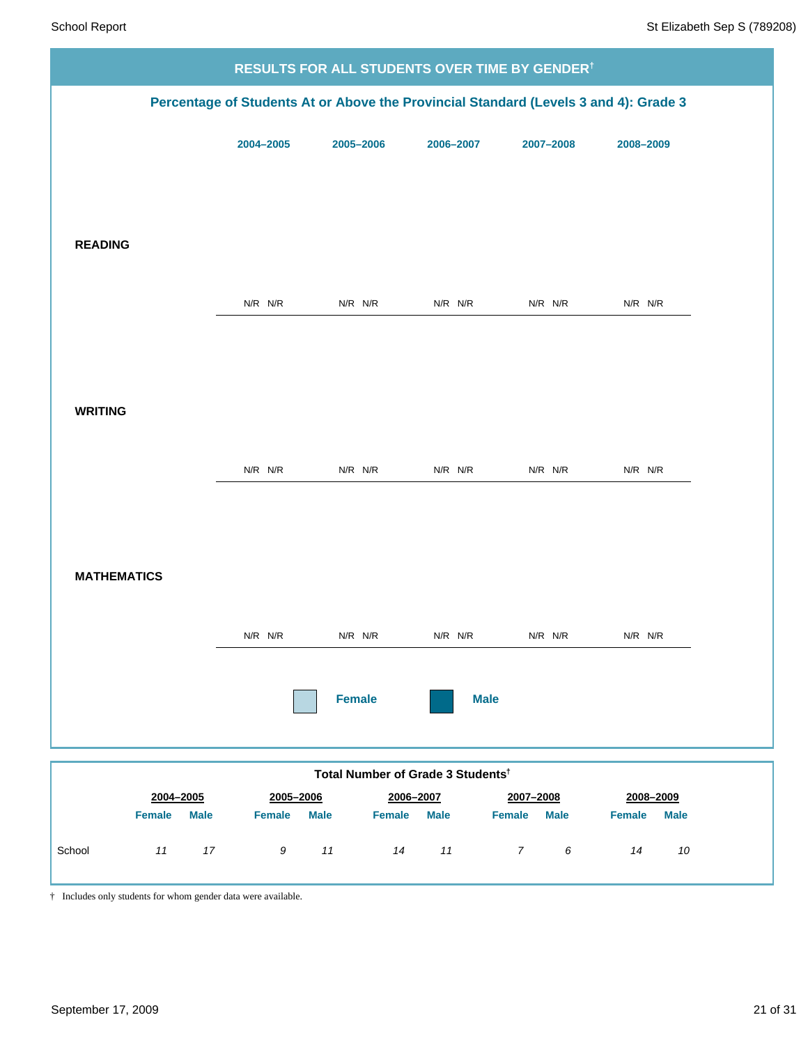| <b>RESULTS FOR ALL STUDENTS OVER TIME BY GENDER<sup>†</sup></b> |             |                                               |             |                                                                                      |                              |
|-----------------------------------------------------------------|-------------|-----------------------------------------------|-------------|--------------------------------------------------------------------------------------|------------------------------|
|                                                                 |             |                                               |             | Percentage of Students At or Above the Provincial Standard (Levels 3 and 4): Grade 3 |                              |
|                                                                 | 2004-2005   | 2005-2006                                     | 2006-2007   | 2007-2008                                                                            | 2008-2009                    |
|                                                                 |             |                                               |             |                                                                                      |                              |
|                                                                 |             |                                               |             |                                                                                      |                              |
| <b>READING</b>                                                  |             |                                               |             |                                                                                      |                              |
|                                                                 |             |                                               |             |                                                                                      |                              |
|                                                                 | $N/R$ $N/R$ | $N/R$ $N/R$                                   | $N/R$ $N/R$ | $N/R$ $N/R$                                                                          | $N/R$ $N/R$                  |
|                                                                 |             |                                               |             |                                                                                      |                              |
|                                                                 |             |                                               |             |                                                                                      |                              |
| <b>WRITING</b>                                                  |             |                                               |             |                                                                                      |                              |
|                                                                 | $N/R$ $N/R$ | $N/R$ $N/R$                                   | $N/R$ $N/R$ | $N/R$ $N/R$                                                                          | $N/R$ $N/R$                  |
|                                                                 |             |                                               |             |                                                                                      |                              |
|                                                                 |             |                                               |             |                                                                                      |                              |
| <b>MATHEMATICS</b>                                              |             |                                               |             |                                                                                      |                              |
|                                                                 |             |                                               |             |                                                                                      |                              |
|                                                                 | $N/R$ $N/R$ | $N/R$ $N/R$                                   | $N/R$ $N/R$ | N/R N/R                                                                              | N/R N/R                      |
|                                                                 |             |                                               |             |                                                                                      |                              |
|                                                                 |             | <b>Female</b>                                 | <b>Male</b> |                                                                                      |                              |
|                                                                 |             |                                               |             |                                                                                      |                              |
| 2004-2005                                                       | 2005-2006   | Total Number of Grade 3 Students <sup>t</sup> | 2006-2007   | 2007-2008                                                                            | 2008-2009                    |
| <b>Female</b><br><b>Male</b>                                    | Female      | <b>Male</b><br>Female                         | <b>Male</b> | <b>Female</b><br><b>Male</b>                                                         | <b>Female</b><br><b>Male</b> |
| 11<br>17<br>School                                              | 9           | 11<br>14                                      | 11          | $7\overline{}$<br>$\epsilon$                                                         | $10\,$<br>14                 |

† Includes only students for whom gender data were available.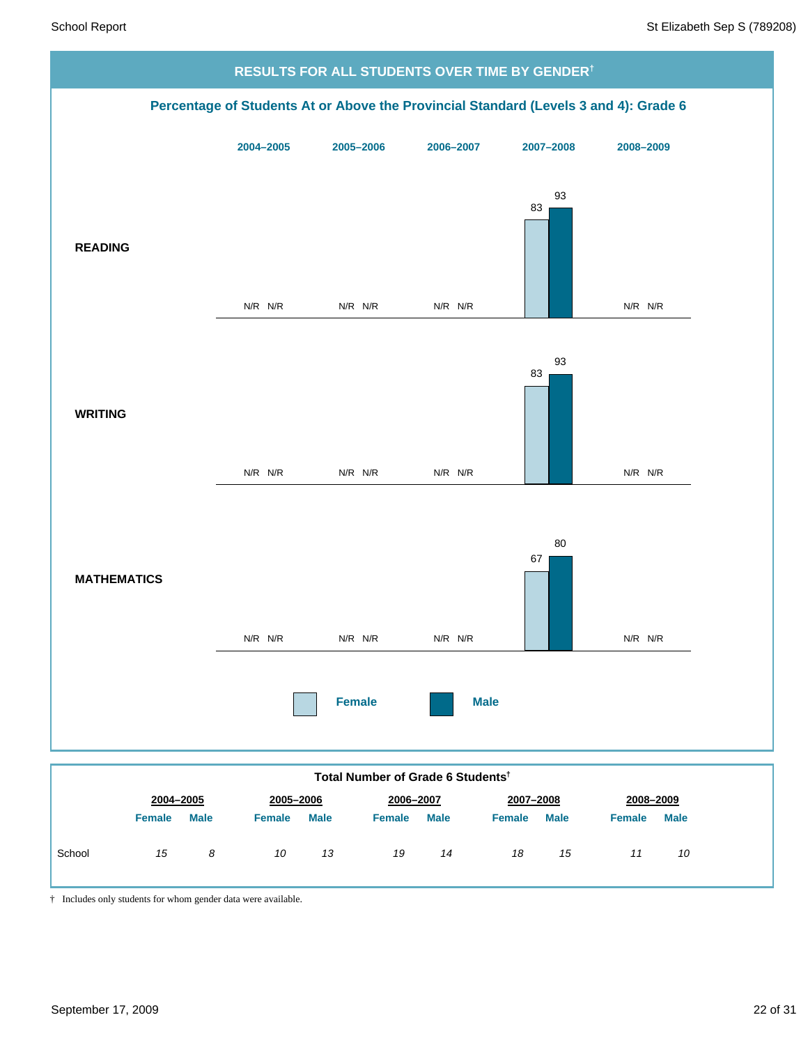

† Includes only students for whom gender data were available.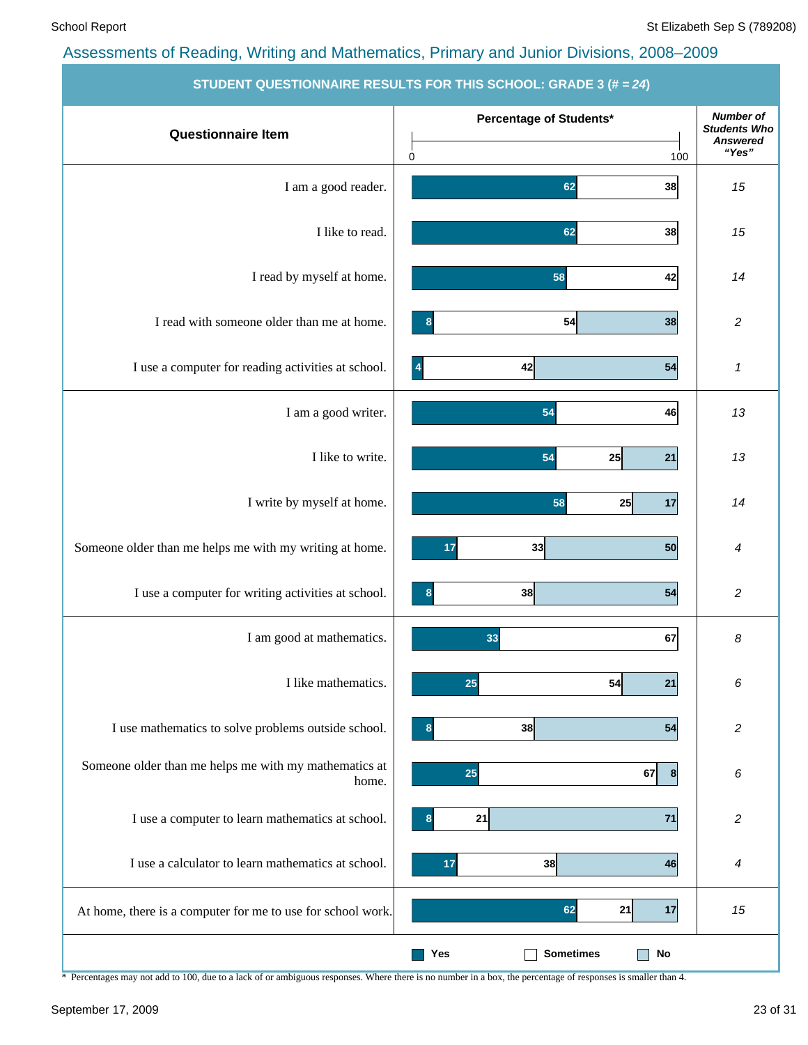| STUDENT QUESTIONNAIRE RESULTS FOR THIS SCHOOL: GRADE 3 (# = 24) |                                                       |                                                                     |  |  |  |
|-----------------------------------------------------------------|-------------------------------------------------------|---------------------------------------------------------------------|--|--|--|
| <b>Questionnaire Item</b>                                       | Percentage of Students*                               | <b>Number of</b><br><b>Students Who</b><br><b>Answered</b><br>"Yes" |  |  |  |
| I am a good reader.                                             | $\mathbf 0$<br>100<br>38<br>62                        | 15                                                                  |  |  |  |
| I like to read.                                                 | 62<br>38                                              | 15                                                                  |  |  |  |
| I read by myself at home.                                       | 58<br>42                                              | 14                                                                  |  |  |  |
| I read with someone older than me at home.                      | 54<br>38<br>8                                         | 2                                                                   |  |  |  |
| I use a computer for reading activities at school.              | 42<br>54<br>$\vert$ 4                                 | 1                                                                   |  |  |  |
| I am a good writer.                                             | 54<br>46                                              | 13                                                                  |  |  |  |
| I like to write.                                                | 54<br>21<br>25                                        | 13                                                                  |  |  |  |
| I write by myself at home.                                      | 58<br>25<br>17                                        | 14                                                                  |  |  |  |
| Someone older than me helps me with my writing at home.         | 50<br>33<br>17                                        | 4                                                                   |  |  |  |
| I use a computer for writing activities at school.              | 38<br>54                                              | $\overline{\mathbf{c}}$                                             |  |  |  |
| I am good at mathematics.                                       | 33<br>67                                              | 8                                                                   |  |  |  |
| I like mathematics.                                             | 25<br>54<br>21                                        | 6                                                                   |  |  |  |
| I use mathematics to solve problems outside school.             | 38<br>54<br>8                                         | $\overline{c}$                                                      |  |  |  |
| Someone older than me helps me with my mathematics at<br>home.  | 25<br>67<br> 8                                        | 6                                                                   |  |  |  |
| I use a computer to learn mathematics at school.                | 21<br>71                                              | 2                                                                   |  |  |  |
| I use a calculator to learn mathematics at school.              | 38<br>17<br>46                                        | 4                                                                   |  |  |  |
| At home, there is a computer for me to use for school work.     | 62<br>21<br>17                                        | 15                                                                  |  |  |  |
|                                                                 | <b>Sometimes</b><br>$\mathop{\sf No}\nolimits$<br>Yes |                                                                     |  |  |  |

\* Percentages may not add to 100, due to a lack of or ambiguous responses. Where there is no number in a box, the percentage of responses is smaller than 4.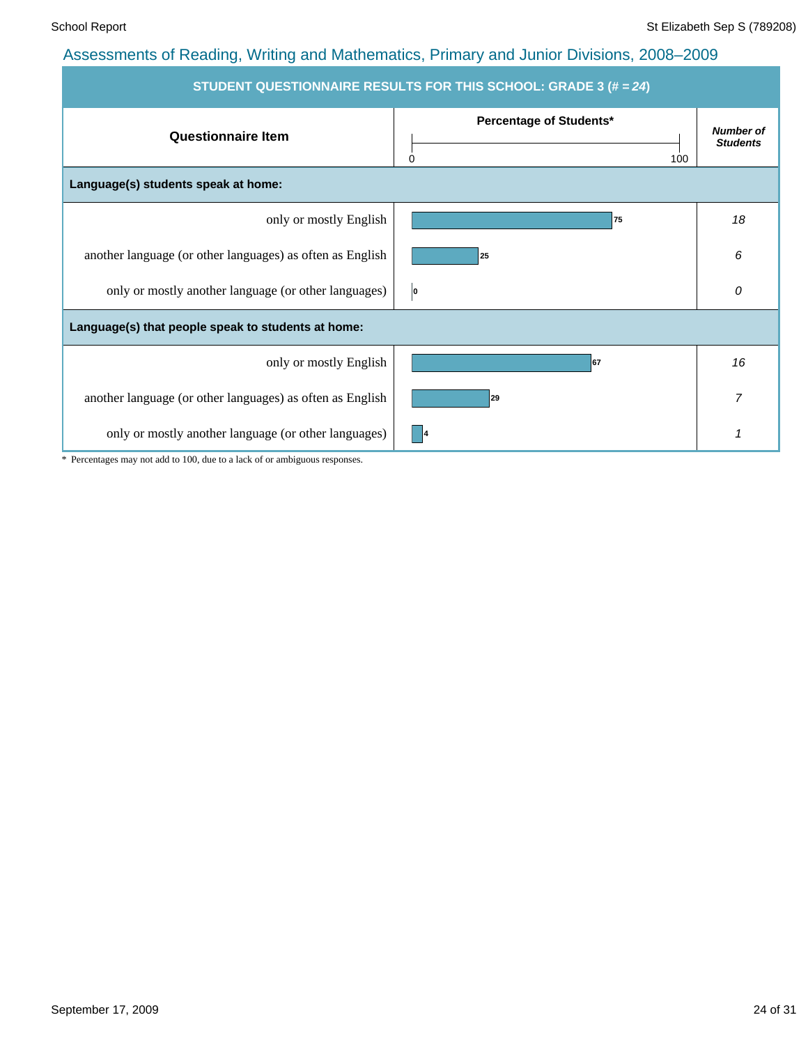| STUDENT QUESTIONNAIRE RESULTS FOR THIS SCHOOL: GRADE 3 (# = 24) |                                     |                                     |  |  |  |  |
|-----------------------------------------------------------------|-------------------------------------|-------------------------------------|--|--|--|--|
| <b>Questionnaire Item</b>                                       | Percentage of Students*<br>0<br>100 | <b>Number of</b><br><b>Students</b> |  |  |  |  |
| Language(s) students speak at home:                             |                                     |                                     |  |  |  |  |
| only or mostly English                                          | 75                                  | 18                                  |  |  |  |  |
| another language (or other languages) as often as English       | 25                                  | 6                                   |  |  |  |  |
| only or mostly another language (or other languages)            | O                                   | 0                                   |  |  |  |  |
| Language(s) that people speak to students at home:              |                                     |                                     |  |  |  |  |
| only or mostly English                                          | 67                                  | 16                                  |  |  |  |  |
| another language (or other languages) as often as English       | 29                                  | $\overline{7}$                      |  |  |  |  |
| only or mostly another language (or other languages)            | - 14                                | 1                                   |  |  |  |  |

\* Percentages may not add to 100, due to a lack of or ambiguous responses.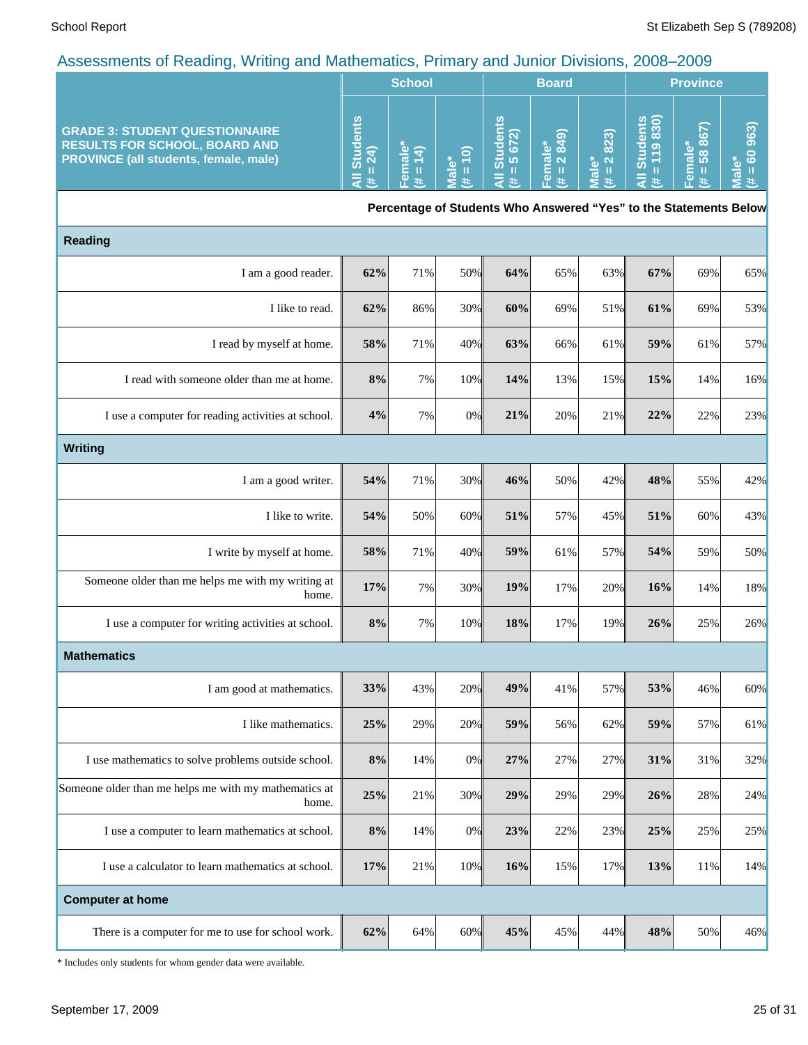| -<br>$\tilde{\phantom{a}}$                                                                                                    |                                                  |                              |                                                   |              |                 |      |                     |                                                       |                       |
|-------------------------------------------------------------------------------------------------------------------------------|--------------------------------------------------|------------------------------|---------------------------------------------------|--------------|-----------------|------|---------------------|-------------------------------------------------------|-----------------------|
|                                                                                                                               |                                                  | <b>School</b>                |                                                   |              | <b>Board</b>    |      |                     | <b>Province</b>                                       |                       |
| <b>GRADE 3: STUDENT QUESTIONNAIRE</b><br><b>RESULTS FOR SCHOOL, BOARD AND</b><br><b>PROVINCE (all students, female, male)</b> | ℒ<br>ō<br><b>Stur</b><br>$\overline{\mathbf{C}}$ | ω<br>$\overline{\mathbf{c}}$ | $\widehat{\mathbf{d}}$<br>$\overline{\mathbf{c}}$ | ļΜ<br>ທ<br>ö | $\sigma$ $\sim$ | 823) | ទី និ<br>ပြ တ<br>ຈັ | ίO<br>$\infty$<br><u>യ</u><br>$\infty$<br>$\sigma$ ro | क़<br>o<br>$\epsilon$ |

**Percentage of Students Who Answered "Yes" to the Statements Below**

| <b>Reading</b>                                                 |       |     |     |     |     |     |     |     |     |
|----------------------------------------------------------------|-------|-----|-----|-----|-----|-----|-----|-----|-----|
| I am a good reader.                                            | 62%   | 71% | 50% | 64% | 65% | 63% | 67% | 69% | 65% |
| I like to read.                                                | 62%   | 86% | 30% | 60% | 69% | 51% | 61% | 69% | 53% |
| I read by myself at home.                                      | 58%   | 71% | 40% | 63% | 66% | 61% | 59% | 61% | 57% |
| I read with someone older than me at home.                     | 8%    | 7%  | 10% | 14% | 13% | 15% | 15% | 14% | 16% |
| I use a computer for reading activities at school.             | 4%    | 7%  | 0%  | 21% | 20% | 21% | 22% | 22% | 23% |
| <b>Writing</b>                                                 |       |     |     |     |     |     |     |     |     |
| I am a good writer.                                            | 54%   | 71% | 30% | 46% | 50% | 42% | 48% | 55% | 42% |
| I like to write.                                               | 54%   | 50% | 60% | 51% | 57% | 45% | 51% | 60% | 43% |
| I write by myself at home.                                     | 58%   | 71% | 40% | 59% | 61% | 57% | 54% | 59% | 50% |
| Someone older than me helps me with my writing at<br>home.     | 17%   | 7%  | 30% | 19% | 17% | 20% | 16% | 14% | 18% |
| I use a computer for writing activities at school.             | $8\%$ | 7%  | 10% | 18% | 17% | 19% | 26% | 25% | 26% |
| <b>Mathematics</b>                                             |       |     |     |     |     |     |     |     |     |
| I am good at mathematics.                                      | 33%   | 43% | 20% | 49% | 41% | 57% | 53% | 46% | 60% |
| I like mathematics.                                            | 25%   | 29% | 20% | 59% | 56% | 62% | 59% | 57% | 61% |
| I use mathematics to solve problems outside school.            | 8%    | 14% | 0%  | 27% | 27% | 27% | 31% | 31% | 32% |
| Someone older than me helps me with my mathematics at<br>home. | 25%   | 21% | 30% | 29% | 29% | 29% | 26% | 28% | 24% |
| I use a computer to learn mathematics at school.               | $8\%$ | 14% | 0%  | 23% | 22% | 23% | 25% | 25% | 25% |
| I use a calculator to learn mathematics at school.             | 17%   | 21% | 10% | 16% | 15% | 17% | 13% | 11% | 14% |
| <b>Computer at home</b>                                        |       |     |     |     |     |     |     |     |     |
| There is a computer for me to use for school work.             | 62%   | 64% | 60% | 45% | 45% | 44% | 48% | 50% | 46% |

\* Includes only students for whom gender data were available.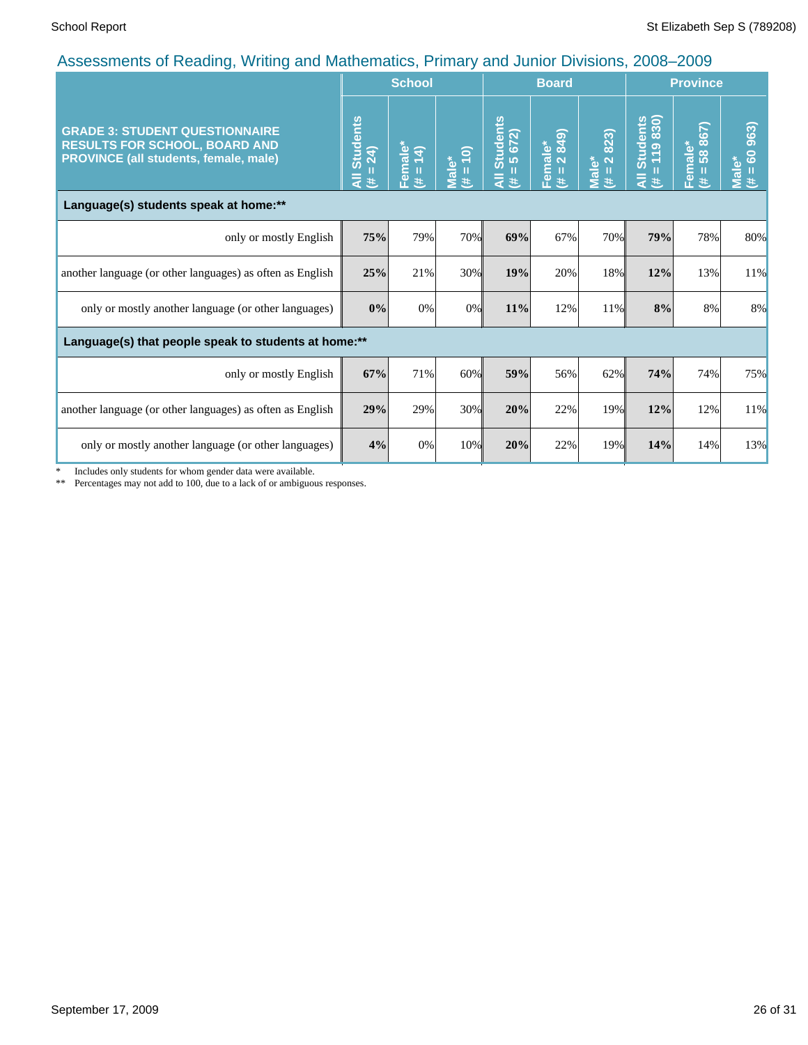|                                                                                                                        |                                    | 50<br><b>School</b>                                 |                     |                                             | <b>Board</b>           |                                     | <b>Province</b>                  |                                              |                                        |
|------------------------------------------------------------------------------------------------------------------------|------------------------------------|-----------------------------------------------------|---------------------|---------------------------------------------|------------------------|-------------------------------------|----------------------------------|----------------------------------------------|----------------------------------------|
| <b>GRADE 3: STUDENT QUESTIONNAIRE</b><br><b>RESULTS FOR SCHOOL, BOARD AND</b><br>PROVINCE (all students, female, male) | <b>Students</b><br>$=24$<br>₹<br>进 | Female<br>$\widehat{+}$<br>$\overline{ }$<br>ш<br>共 | $(# = 10)$<br>Male* | Students<br>$= 5672$<br>П<br>$\bar{a}$<br>共 | Female*<br>(# = 2 849) | 2823)<br>Male*<br>$\mathbf{H}$<br>进 | Students<br>= 119 830)<br>₹<br>进 | iale*<br>58 867)<br>٤<br>$\overline{e}$<br>共 | 60 963)<br>Male <sup>*</sup><br>Ш<br>悲 |
| Language(s) students speak at home:**                                                                                  |                                    |                                                     |                     |                                             |                        |                                     |                                  |                                              |                                        |
| only or mostly English                                                                                                 | 75%                                | 79%                                                 | 70%                 | 69%                                         | 67%                    | 70%                                 | 79%                              | 78%                                          | 80%                                    |
| another language (or other languages) as often as English                                                              | 25%                                | 21%                                                 | 30%                 | 19%                                         | 20%                    | 18%                                 | 12%                              | 13%                                          | 11%                                    |
| only or mostly another language (or other languages)                                                                   | 0%                                 | 0%                                                  | 0%                  | 11%                                         | 12%                    | 11%                                 | 8%                               | 8%                                           | 8%                                     |
| Language(s) that people speak to students at home:**                                                                   |                                    |                                                     |                     |                                             |                        |                                     |                                  |                                              |                                        |
| only or mostly English                                                                                                 | 67%                                | 71%                                                 | 60%                 | 59%                                         | 56%                    | 62%                                 | 74%                              | 74%                                          | 75%                                    |
| another language (or other languages) as often as English                                                              | 29%                                | 29%                                                 | 30%                 | 20%                                         | 22%                    | 19%                                 | 12%                              | 12%                                          | 11%                                    |
| only or mostly another language (or other languages)                                                                   | 4%                                 | 0%                                                  | 10%                 | 20%                                         | 22%                    | 19%                                 | 14%                              | 14%                                          | 13%                                    |

\* Includes only students for whom gender data were available.

\*\* Percentages may not add to 100, due to a lack of or ambiguous responses.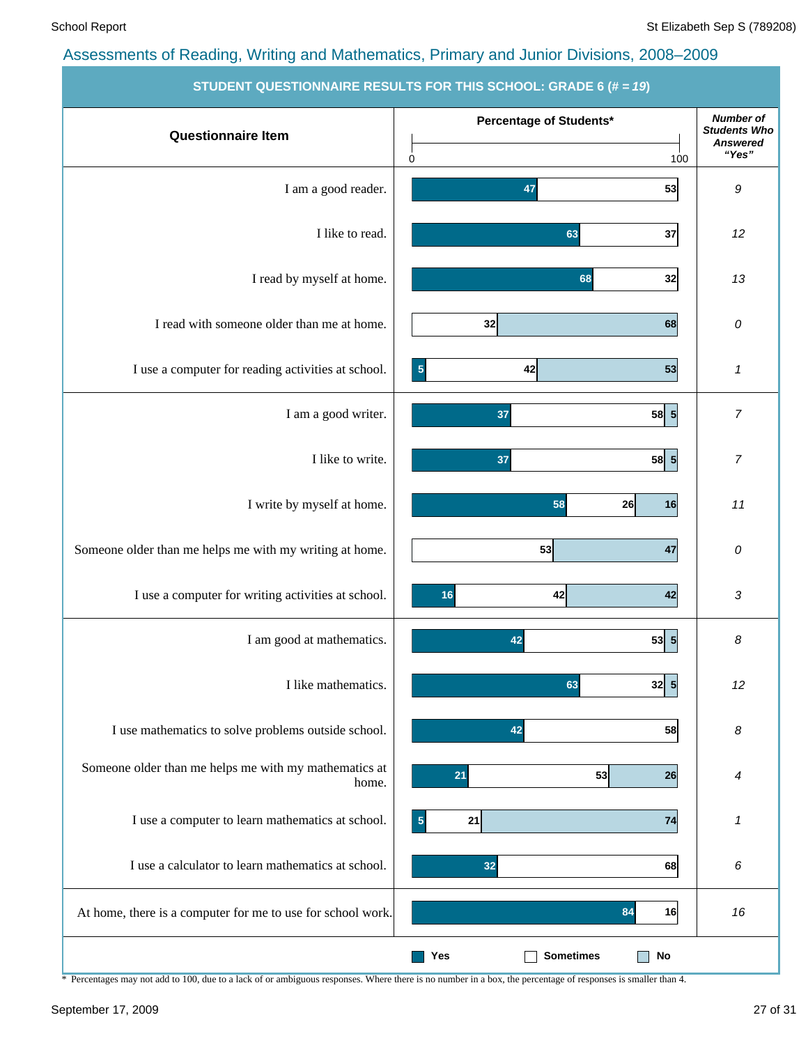|                                                             | <b>STODENT QUESTIONNAINE NESULTS FUN THIS SUNUUL. GNADE 0</b> (# = 19) |                                         |
|-------------------------------------------------------------|------------------------------------------------------------------------|-----------------------------------------|
|                                                             | Percentage of Students*                                                | <b>Number of</b><br><b>Students Who</b> |
| <b>Questionnaire Item</b>                                   |                                                                        | <b>Answered</b>                         |
|                                                             | 100<br>0                                                               | "Yes"                                   |
| I am a good reader.                                         | 47<br>53                                                               | 9                                       |
|                                                             |                                                                        |                                         |
| I like to read.                                             | 63<br>37                                                               | 12                                      |
|                                                             |                                                                        |                                         |
| I read by myself at home.                                   |                                                                        | 13                                      |
|                                                             | 68<br>32                                                               |                                         |
|                                                             |                                                                        |                                         |
| I read with someone older than me at home.                  | 32<br>68                                                               | 0                                       |
|                                                             |                                                                        |                                         |
| I use a computer for reading activities at school.          | 53<br>42<br>$\overline{\mathbf{5}}$                                    | 1                                       |
|                                                             |                                                                        |                                         |
| I am a good writer.                                         | 58 5 <br>37                                                            | $\overline{7}$                          |
|                                                             |                                                                        |                                         |
| I like to write.                                            | 58 5 <br>37                                                            | $\boldsymbol{7}$                        |
|                                                             |                                                                        |                                         |
| I write by myself at home.                                  | 58<br>26<br>16                                                         | 11                                      |
|                                                             |                                                                        |                                         |
| Someone older than me helps me with my writing at home.     | 53<br>47                                                               | 0                                       |
|                                                             |                                                                        |                                         |
| I use a computer for writing activities at school.          | 42<br>42<br>16                                                         | 3                                       |
|                                                             |                                                                        |                                         |
| I am good at mathematics.                                   | 53 5<br>42                                                             | 8                                       |
|                                                             |                                                                        |                                         |
| I like mathematics.                                         | 63<br>$32\vert 5$                                                      | 12                                      |
|                                                             |                                                                        |                                         |
| I use mathematics to solve problems outside school.         | 42                                                                     |                                         |
|                                                             | 58                                                                     | 8                                       |
| Someone older than me helps me with my mathematics at       |                                                                        |                                         |
| home.                                                       | 53<br>26<br>21                                                         | 4                                       |
|                                                             |                                                                        |                                         |
| I use a computer to learn mathematics at school.            | 74<br>$\sqrt{5}$<br>21                                                 | 1                                       |
|                                                             |                                                                        |                                         |
| I use a calculator to learn mathematics at school.          | 32<br>68                                                               | 6                                       |
|                                                             |                                                                        |                                         |
| At home, there is a computer for me to use for school work. | 84<br>16                                                               | 16                                      |
|                                                             |                                                                        |                                         |
|                                                             | <b>Sometimes</b><br>Yes<br><b>No</b>                                   |                                         |

**STUDENT QUESTIONNAIRE RESULTS FOR THIS SCHOOL: GRADE 6 (# =** *19***)**

\* Percentages may not add to 100, due to a lack of or ambiguous responses. Where there is no number in a box, the percentage of responses is smaller than 4.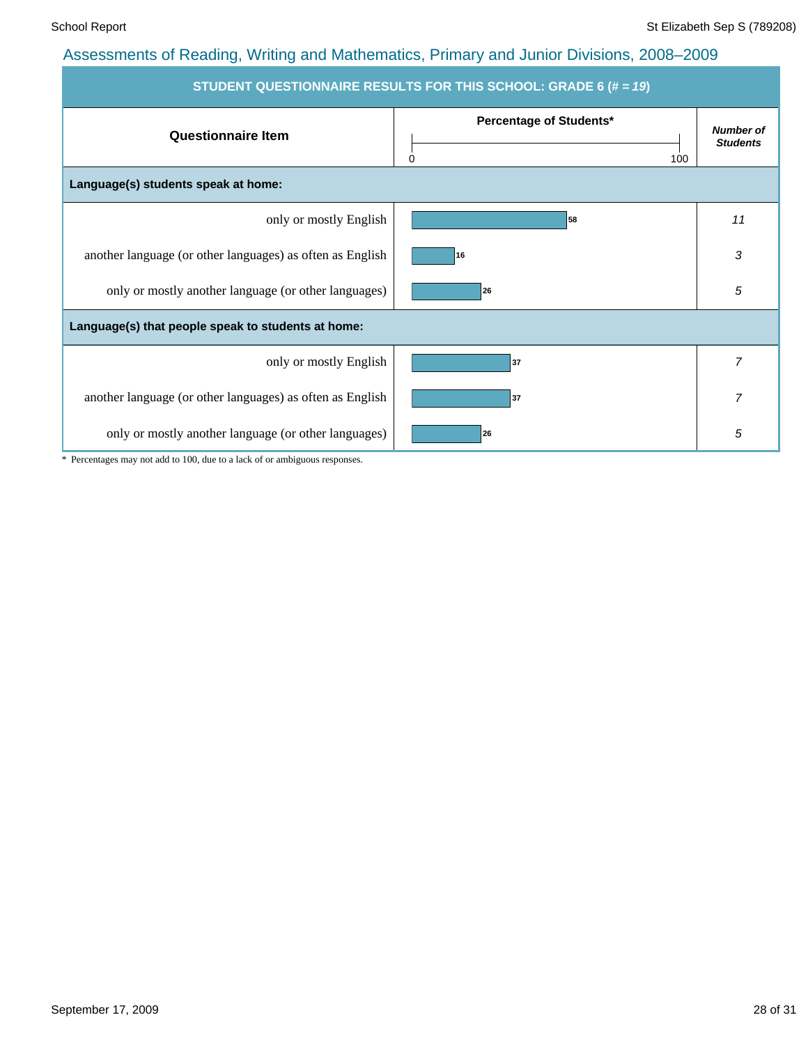| STUDENT QUESTIONNAIRE RESULTS FOR THIS SCHOOL: GRADE 6 (# = 19) |                                     |                                     |  |  |  |
|-----------------------------------------------------------------|-------------------------------------|-------------------------------------|--|--|--|
| <b>Questionnaire Item</b>                                       | Percentage of Students*<br>100<br>0 | <b>Number of</b><br><b>Students</b> |  |  |  |
| Language(s) students speak at home:                             |                                     |                                     |  |  |  |
| only or mostly English                                          | 58                                  | 11                                  |  |  |  |
| another language (or other languages) as often as English       | 16                                  | 3                                   |  |  |  |
| only or mostly another language (or other languages)            | 26                                  | 5                                   |  |  |  |
| Language(s) that people speak to students at home:              |                                     |                                     |  |  |  |
| only or mostly English                                          | 37                                  | $\overline{7}$                      |  |  |  |
| another language (or other languages) as often as English       | 37                                  | 7                                   |  |  |  |
| only or mostly another language (or other languages)            | 26                                  | 5                                   |  |  |  |

\* Percentages may not add to 100, due to a lack of or ambiguous responses.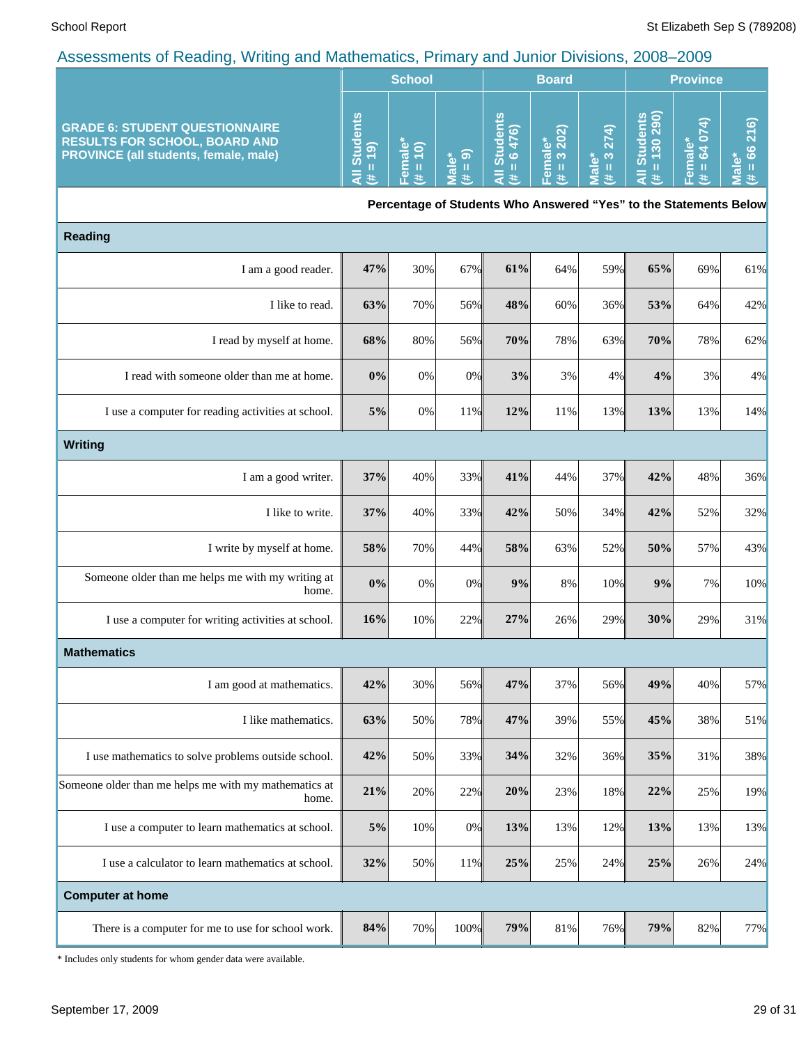|                                                                                                                               |                                                                   | <b>School</b>                                |                                |                                  | <b>Board</b>                           |                                       | <b>Province</b>                  |                                         |                                                                        |
|-------------------------------------------------------------------------------------------------------------------------------|-------------------------------------------------------------------|----------------------------------------------|--------------------------------|----------------------------------|----------------------------------------|---------------------------------------|----------------------------------|-----------------------------------------|------------------------------------------------------------------------|
| <b>GRADE 6: STUDENT QUESTIONNAIRE</b><br><b>RESULTS FOR SCHOOL, BOARD AND</b><br><b>PROVINCE (all students, female, male)</b> | <b>Students</b><br>$= 19$<br>$\bar{\bar{\mathbf{x}}}$<br>y.       | Female*<br>$\overline{10}$<br>$\frac{1}{16}$ | $(6 = 4)$<br>Male <sup>*</sup> | <b>Students</b><br>$= 6476$<br>主 | 3 202)<br>Female*<br>$\mathbf{I}$<br>进 | $= 3274$<br><b>Male*</b><br>$\ddot{}$ | All Students<br>$(\# = 130 290)$ | 64 074)<br>Female*<br>$\mathbf{H}$<br># | 66216)<br>$\mathbf{c}$<br>$\mathbf{u}$<br>$\overline{\mathbf{c}}$<br>共 |
|                                                                                                                               | Percentage of Students Who Answered "Yes" to the Statements Below |                                              |                                |                                  |                                        |                                       |                                  |                                         |                                                                        |
| <b>Reading</b>                                                                                                                |                                                                   |                                              |                                |                                  |                                        |                                       |                                  |                                         |                                                                        |
| I am a good reader.                                                                                                           | 47%                                                               | 30%                                          | 67%                            | 61%                              | 64%                                    | 59%                                   | 65%                              | 69%                                     | 61%                                                                    |
| I like to read.                                                                                                               | 63%                                                               | 70%                                          | 56%                            | 48%                              | 60%                                    | 36%                                   | 53%                              | 64%                                     | 42%                                                                    |
| I read by myself at home.                                                                                                     | 68%                                                               | 80%                                          | 56%                            | 70%                              | 78%                                    | 63%                                   | 70%                              | 78%                                     | 62%                                                                    |
| I read with someone older than me at home.                                                                                    | 0%                                                                | $0\%$                                        | 0%                             | 3%                               | 3%                                     | 4%                                    | 4%                               | 3%                                      | 4%                                                                     |
| I use a computer for reading activities at school.                                                                            | 5%                                                                | $0\%$                                        | 11%                            | 12%                              | 11%                                    | 13%                                   | 13%                              | 13%                                     | 14%                                                                    |
| <b>Writing</b>                                                                                                                |                                                                   |                                              |                                |                                  |                                        |                                       |                                  |                                         |                                                                        |
| I am a good writer.                                                                                                           | 37%                                                               | 40%                                          | 33%                            | 41%                              | 44%                                    | 37%                                   | 42%                              | 48%                                     | 36%                                                                    |
| I like to write.                                                                                                              | 37%                                                               | 40%                                          | 33%                            | 42%                              | 50%                                    | 34%                                   | 42%                              | 52%                                     | 32%                                                                    |
| I write by myself at home.                                                                                                    | 58%                                                               | 70%                                          | 44%                            | 58%                              | 63%                                    | 52%                                   | 50%                              | 57%                                     | 43%                                                                    |
| Someone older than me helps me with my writing at<br>home.                                                                    | 0%                                                                | $0\%$                                        | 0%                             | 9%                               | 8%                                     | 10%                                   | 9%                               | 7%                                      | 10%                                                                    |
| I use a computer for writing activities at school.                                                                            | 16%                                                               | 10%                                          | 22%                            | 27%                              | 26%                                    | 29%                                   | 30%                              | 29%                                     | 31%                                                                    |
| <b>Mathematics</b>                                                                                                            |                                                                   |                                              |                                |                                  |                                        |                                       |                                  |                                         |                                                                        |
| I am good at mathematics.                                                                                                     | 42%                                                               | 30%                                          | 56%                            | 47%                              | 37%                                    | 56%                                   | 49%                              | 40%                                     | 57%                                                                    |
| I like mathematics.                                                                                                           | 63%                                                               | 50%                                          | 78%                            | 47%                              | 39%                                    | 55%                                   | 45%                              | 38%                                     | 51%                                                                    |
| I use mathematics to solve problems outside school.                                                                           | 42%                                                               | 50%                                          | 33%                            | 34%                              | 32%                                    | 36%                                   | 35%                              | 31%                                     | 38%                                                                    |
| Someone older than me helps me with my mathematics at<br>home.                                                                | 21%                                                               | 20%                                          | 22%                            | 20%                              | 23%                                    | 18%                                   | 22%                              | 25%                                     | 19%                                                                    |
| I use a computer to learn mathematics at school.                                                                              | $5\%$                                                             | 10%                                          | 0%                             | 13%                              | 13%                                    | 12%                                   | 13%                              | 13%                                     | 13%                                                                    |
| I use a calculator to learn mathematics at school.                                                                            | 32%                                                               | 50%                                          | 11%                            | 25%                              | 25%                                    | 24%                                   | 25%                              | 26%                                     | 24%                                                                    |
| <b>Computer at home</b>                                                                                                       |                                                                   |                                              |                                |                                  |                                        |                                       |                                  |                                         |                                                                        |
| There is a computer for me to use for school work.                                                                            | 84%                                                               | 70%                                          | 100%                           | 79%                              | $81\%$                                 | 76%                                   | 79%                              | 82%                                     | 77%                                                                    |

\* Includes only students for whom gender data were available.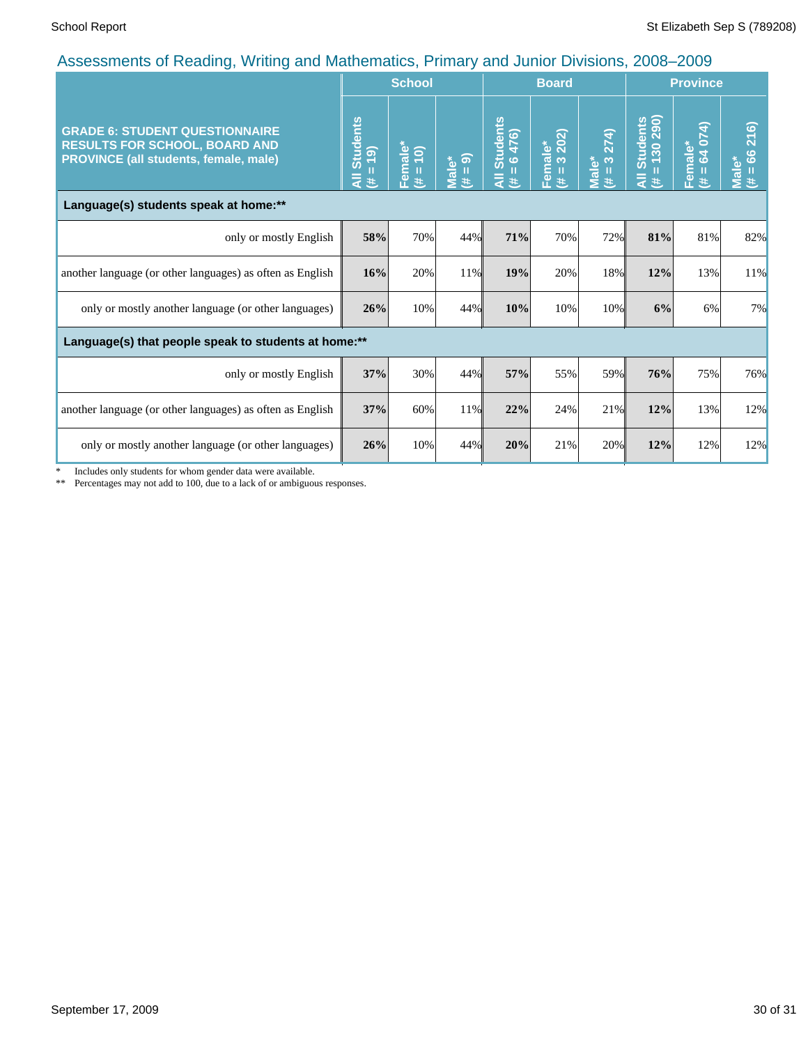| recocomonto or redding; rriting and mathomatico; rrimary and camor Britishio; 2000                                     |                                     | <b>School</b>                         |                            |                                                                                | <b>Board</b>           |                                                            | <b>Province</b>                       |                              |                                                 |
|------------------------------------------------------------------------------------------------------------------------|-------------------------------------|---------------------------------------|----------------------------|--------------------------------------------------------------------------------|------------------------|------------------------------------------------------------|---------------------------------------|------------------------------|-------------------------------------------------|
| <b>GRADE 6: STUDENT QUESTIONNAIRE</b><br><b>RESULTS FOR SCHOOL, BOARD AND</b><br>PROVINCE (all students, female, male) | <b>Students</b><br>$= 19$<br>₹<br>进 | Female $\frac{1}{(t+1)}$<br><b>Ay</b> | $= 9$<br><b>Male*</b><br>共 | <b>Students</b><br>476)<br>$\ddot{\circ}$<br>$\mathbf{u}$<br>$\bar{a}$<br>$\#$ | Female*<br>(# = 3 202) | 274)<br>$\infty$<br>Male*<br>$\mathbf{H}$<br>$\ddot{\ast}$ | Students<br>= 130 290)<br>П<br>₹<br>共 | 64 074)<br>Female*<br>Ш<br>羊 | 216)<br>$\frac{6}{6}$<br><b>Male*</b><br>Ш<br>违 |
| Language(s) students speak at home:**                                                                                  |                                     |                                       |                            |                                                                                |                        |                                                            |                                       |                              |                                                 |
| only or mostly English                                                                                                 | 58%                                 | 70%                                   | 44%                        | 71%                                                                            | 70%                    | 72%                                                        | 81%                                   | 81%                          | 82%                                             |
| another language (or other languages) as often as English                                                              | 16%                                 | 20%                                   | 11%                        | 19%                                                                            | 20%                    | 18%                                                        | 12%                                   | 13%                          | 11%                                             |
| only or mostly another language (or other languages)                                                                   | 26%                                 | 10%                                   | 44%                        | 10%                                                                            | 10%                    | 10%                                                        | 6%                                    | 6%                           | 7%                                              |
| Language(s) that people speak to students at home:**                                                                   |                                     |                                       |                            |                                                                                |                        |                                                            |                                       |                              |                                                 |
| only or mostly English                                                                                                 | 37%                                 | 30%                                   | 44%                        | 57%                                                                            | 55%                    | 59%                                                        | 76%                                   | 75%                          | 76%                                             |
| another language (or other languages) as often as English                                                              | 37%                                 | 60%                                   | 11%                        | 22%                                                                            | 24%                    | 21%                                                        | 12%                                   | 13%                          | 12%                                             |
| only or mostly another language (or other languages)                                                                   | 26%                                 | 10%                                   | 44%                        | 20%                                                                            | 21%                    | 20%                                                        | 12%                                   | 12%                          | 12%                                             |

\* Includes only students for whom gender data were available.

\*\* Percentages may not add to 100, due to a lack of or ambiguous responses.